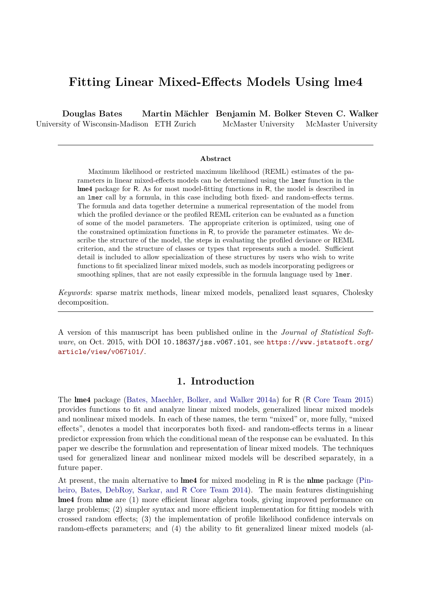# **Fitting Linear Mixed-Effects Models Using lme4**

**Douglas Bates** University of Wisconsin-Madison ETH Zurich **Martin Mächler Benjamin M. Bolker Steven C. Walker** McMaster University McMaster University

#### **Abstract**

Maximum likelihood or restricted maximum likelihood (REML) estimates of the parameters in linear mixed-effects models can be determined using the lmer function in the lme4 package for R. As for most model-fitting functions in R, the model is described in an lmer call by a formula, in this case including both fixed- and random-effects terms. The formula and data together determine a numerical representation of the model from which the profiled deviance or the profiled REML criterion can be evaluated as a function of some of the model parameters. The appropriate criterion is optimized, using one of the constrained optimization functions in R, to provide the parameter estimates. We describe the structure of the model, the steps in evaluating the profiled deviance or REML criterion, and the structure of classes or types that represents such a model. Sufficient detail is included to allow specialization of these structures by users who wish to write functions to fit specialized linear mixed models, such as models incorporating pedigrees or smoothing splines, that are not easily expressible in the formula language used by lmer.

*Keywords*: sparse matrix methods, linear mixed models, penalized least squares, Cholesky decomposition.

A version of this manuscript has been published online in the *Journal of Statistical Software*, on Oct. 2015, with DOI 10.18637/jss.v067.i01, see [https://www.jstatsoft.org/](https://www.jstatsoft.org/article/view/v067i01/) [article/view/v067i01/](https://www.jstatsoft.org/article/view/v067i01/).

## **1. Introduction**

The lme4 package [\(Bates, Maechler, Bolker, and Walker 2014a\)](#page-39-0) for R (R [Core Team 2015\)](#page-41-0) provides functions to fit and analyze linear mixed models, generalized linear mixed models and nonlinear mixed models. In each of these names, the term "mixed" or, more fully, "mixed effects", denotes a model that incorporates both fixed- and random-effects terms in a linear predictor expression from which the conditional mean of the response can be evaluated. In this paper we describe the formulation and representation of linear mixed models. The techniques used for generalized linear and nonlinear mixed models will be described separately, in a future paper.

At present, the main alternative to lme4 for mixed modeling in R is the nlme package [\(Pin](#page-41-1)[heiro, Bates, DebRoy, Sarkar, and](#page-41-1) R Core Team [2014\)](#page-41-1). The main features distinguishing lme4 from nlme are (1) more efficient linear algebra tools, giving improved performance on large problems; (2) simpler syntax and more efficient implementation for fitting models with crossed random effects; (3) the implementation of profile likelihood confidence intervals on random-effects parameters; and (4) the ability to fit generalized linear mixed models (al-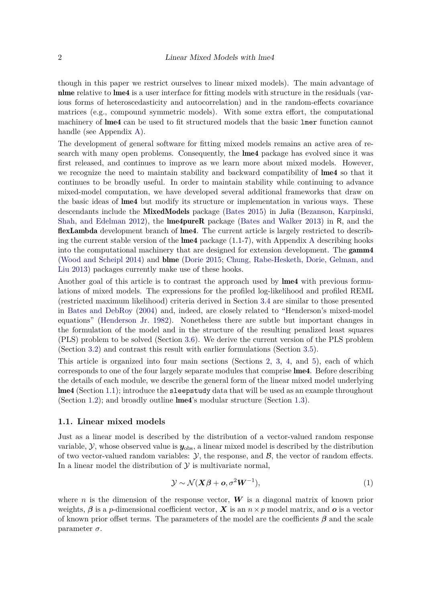though in this paper we restrict ourselves to linear mixed models). The main advantage of nlme relative to lme4 is a user interface for fitting models with structure in the residuals (various forms of heteroscedasticity and autocorrelation) and in the random-effects covariance matrices (e.g., compound symmetric models). With some extra effort, the computational machinery of lme4 can be used to fit structured models that the basic lmer function cannot handle (see Appendix [A\)](#page-43-0).

The development of general software for fitting mixed models remains an active area of research with many open problems. Consequently, the lme4 package has evolved since it was first released, and continues to improve as we learn more about mixed models. However, we recognize the need to maintain stability and backward compatibility of lme4 so that it continues to be broadly useful. In order to maintain stability while continuing to advance mixed-model computation, we have developed several additional frameworks that draw on the basic ideas of lme4 but modify its structure or implementation in various ways. These descendants include the MixedModels package [\(Bates 2015\)](#page-39-1) in Julia [\(Bezanson, Karpinski,](#page-39-2) [Shah, and Edelman 2012\)](#page-39-2), the lme4pureR package [\(Bates and Walker 2013\)](#page-39-3) in R, and the flexLambda development branch of lme4. The current article is largely restricted to describing the current stable version of the **lme4** package  $(1.1-7)$ , with [A](#page-43-0)ppendix A describing hooks into the computational machinery that are designed for extension development. The gamm4 [\(Wood and Scheipl 2014\)](#page-42-0) and blme [\(Dorie 2015;](#page-40-0) [Chung, Rabe-Hesketh, Dorie, Gelman, and](#page-39-4) [Liu 2013\)](#page-39-4) packages currently make use of these hooks.

Another goal of this article is to contrast the approach used by lme4 with previous formulations of mixed models. The expressions for the profiled log-likelihood and profiled REML (restricted maximum likelihood) criteria derived in Section [3.4](#page-15-0) are similar to those presented in [Bates and DebRoy](#page-39-5) [\(2004\)](#page-39-5) and, indeed, are closely related to "Henderson's mixed-model equations" [\(Henderson Jr. 1982\)](#page-40-1). Nonetheless there are subtle but important changes in the formulation of the model and in the structure of the resulting penalized least squares (PLS) problem to be solved (Section [3.6\)](#page-18-0). We derive the current version of the PLS problem (Section [3.2\)](#page-12-0) and contrast this result with earlier formulations (Section [3.5\)](#page-16-0).

This article is organized into four main sections (Sections [2,](#page-4-0) [3,](#page-12-1) [4,](#page-23-0) and [5\)](#page-24-0), each of which corresponds to one of the four largely separate modules that comprise lme4. Before describing the details of each module, we describe the general form of the linear mixed model underlying lme4 (Section [1.1\)](#page-1-0); introduce the sleepstudy data that will be used as an example throughout (Section [1.2\)](#page-2-0); and broadly outline lme4's modular structure (Section [1.3\)](#page-3-0).

#### <span id="page-1-0"></span>**1.1. Linear mixed models**

Just as a linear model is described by the distribution of a vector-valued random response variable,  $\mathcal{Y}$ , whose observed value is  $\mathbf{y}_{\text{obs}}$ , a linear mixed model is described by the distribution of two vector-valued random variables:  $\mathcal{Y}$ , the response, and  $\mathcal{B}$ , the vector of random effects. In a linear model the distribution of  $\mathcal Y$  is multivariate normal,

$$
\mathcal{Y} \sim \mathcal{N}(\mathbf{X}\boldsymbol{\beta} + \boldsymbol{o}, \sigma^2 \mathbf{W}^{-1}), \tag{1}
$$

where *n* is the dimension of the response vector,  $W$  is a diagonal matrix of known prior weights,  $\beta$  is a *p*-dimensional coefficient vector,  $\boldsymbol{X}$  is an  $n \times p$  model matrix, and  $\boldsymbol{o}$  is a vector of known prior offset terms. The parameters of the model are the coefficients *β* and the scale parameter *σ*.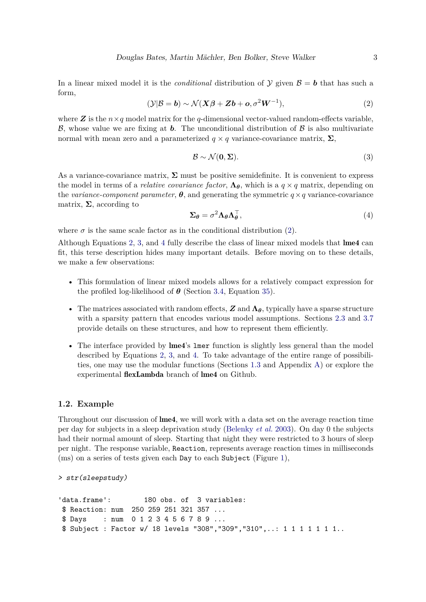<span id="page-2-1"></span>In a linear mixed model it is the *conditional* distribution of  $\mathcal{Y}$  given  $\mathcal{B} = \mathbf{b}$  that has such a form,

$$
(\mathcal{Y}|\mathcal{B} = \mathbf{b}) \sim \mathcal{N}(X\mathcal{B} + Z\mathbf{b} + \mathbf{o}, \sigma^2 W^{-1}),
$$
\n<sup>(2)</sup>

where **Z** is the  $n \times q$  model matrix for the *q*-dimensional vector-valued random-effects variable, B, whose value we are fixing at **b**. The unconditional distribution of  $\beta$  is also multivariate normal with mean zero and a parameterized  $q \times q$  variance-covariance matrix,  $\Sigma$ ,

<span id="page-2-2"></span>
$$
\mathcal{B} \sim \mathcal{N}(\mathbf{0}, \Sigma). \tag{3}
$$

As a variance-covariance matrix,  $\Sigma$  must be positive semidefinite. It is convenient to express the model in terms of a *relative covariance factor*,  $\Lambda_{\theta}$ , which is a  $q \times q$  matrix, depending on the *variance-component parameter*,  $\theta$ , and generating the symmetric  $q \times q$  variance-covariance matrix,  $\Sigma$ , according to

<span id="page-2-3"></span>
$$
\Sigma_{\theta} = \sigma^2 \Lambda_{\theta} \Lambda_{\theta}^{\top},\tag{4}
$$

where  $\sigma$  is the same scale factor as in the conditional distribution [\(2\)](#page-2-1).

Although Equations [2,](#page-2-1) [3,](#page-2-2) and [4](#page-2-3) fully describe the class of linear mixed models that lme4 can fit, this terse description hides many important details. Before moving on to these details, we make a few observations:

- This formulation of linear mixed models allows for a relatively compact expression for the profiled log-likelihood of  $\theta$  (Section [3.4,](#page-15-0) Equation [35\)](#page-15-1).
- The matrices associated with random effects, *Z* and **Λ***θ*, typically have a sparse structure with a sparsity pattern that encodes various model assumptions. Sections [2.3](#page-7-0) and [3.7](#page-22-0) provide details on these structures, and how to represent them efficiently.
- The interface provided by lme4's lmer function is slightly less general than the model described by Equations [2,](#page-2-1) [3,](#page-2-2) and [4.](#page-2-3) To take advantage of the entire range of possibilities, one may use the modular functions (Sections [1.3](#page-3-0) and Appendix [A\)](#page-43-0) or explore the experimental flexLambda branch of lme4 on Github.

### <span id="page-2-0"></span>**1.2. Example**

Throughout our discussion of lme4, we will work with a data set on the average reaction time per day for subjects in a sleep deprivation study [\(Belenky](#page-39-6) *et al.* [2003\)](#page-39-6). On day 0 the subjects had their normal amount of sleep. Starting that night they were restricted to 3 hours of sleep per night. The response variable, Reaction, represents average reaction times in milliseconds (ms) on a series of tests given each Day to each Subject (Figure [1\)](#page-3-1),

*> str(sleepstudy)*

```
'data.frame': 180 obs. of 3 variables:
$ Reaction: num 250 259 251 321 357 ...
$ Days : num 0 1 2 3 4 5 6 7 8 9 ...
$ Subject : Factor w/ 18 levels "308", "309", "310",..: 1 1 1 1 1 1 1 1..
```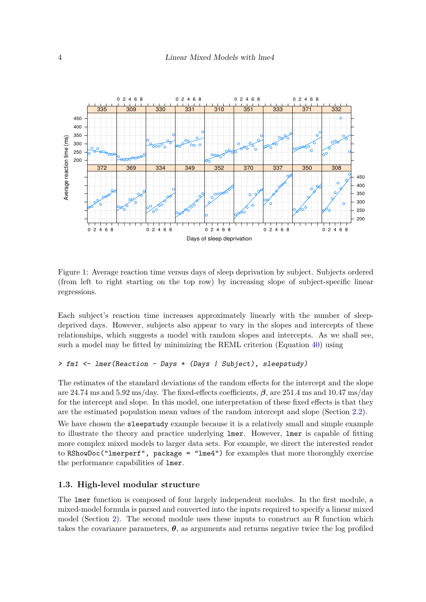

<span id="page-3-1"></span>Figure 1: Average reaction time versus days of sleep deprivation by subject. Subjects ordered (from left to right starting on the top row) by increasing slope of subject-specific linear regressions.

Each subject's reaction time increases approximately linearly with the number of sleepdeprived days. However, subjects also appear to vary in the slopes and intercepts of these relationships, which suggests a model with random slopes and intercepts. As we shall see, such a model may be fitted by minimizing the REML criterion (Equation [40\)](#page-16-1) using

```
> fm1 <- lmer(Reaction ~ Days + (Days | Subject), sleepstudy)
```
The estimates of the standard deviations of the random effects for the intercept and the slope are 24.74 ms and 5.92 ms/day. The fixed-effects coefficients, *β*, are 251.4 ms and 10.47 ms/day for the intercept and slope. In this model, one interpretation of these fixed effects is that they are the estimated population mean values of the random intercept and slope (Section [2.2\)](#page-5-0).

We have chosen the sleepstudy example because it is a relatively small and simple example to illustrate the theory and practice underlying lmer. However, lmer is capable of fitting more complex mixed models to larger data sets. For example, we direct the interested reader to RShowDoc("lmerperf", package = "lme4") for examples that more thoroughly exercise the performance capabilities of lmer.

## <span id="page-3-0"></span>**1.3. High-level modular structure**

The lmer function is composed of four largely independent modules. In the first module, a mixed-model formula is parsed and converted into the inputs required to specify a linear mixed model (Section [2\)](#page-4-0). The second module uses these inputs to construct an R function which takes the covariance parameters,  $\theta$ , as arguments and returns negative twice the log profiled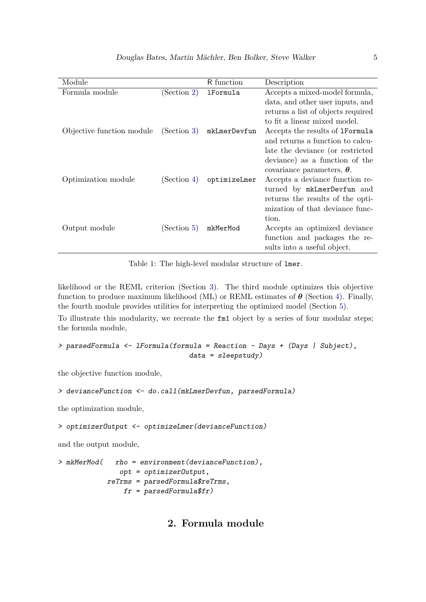| Module                    |             | R function      | Description                            |
|---------------------------|-------------|-----------------|----------------------------------------|
| Formula module            | (Section 2) | <b>1Formula</b> | Accepts a mixed-model formula,         |
|                           |             |                 | data, and other user inputs, and       |
|                           |             |                 | returns a list of objects required     |
|                           |             |                 | to fit a linear mixed model.           |
| Objective function module | (Section 3) | mkLmerDevfun    | Accepts the results of <b>1Formula</b> |
|                           |             |                 | and returns a function to calcu-       |
|                           |             |                 | late the deviance (or restricted       |
|                           |             |                 | deviance) as a function of the         |
|                           |             |                 | covariance parameters, $\theta$ .      |
| Optimization module       | (Section 4) | optimizeLmer    | Accepts a deviance function re-        |
|                           |             |                 | turned by mkLmerDevfun and             |
|                           |             |                 | returns the results of the opti-       |
|                           |             |                 | mization of that deviance func-        |
|                           |             |                 | tion.                                  |
| Output module             | (Section 5) | mkMerMod        | Accepts an optimized deviance          |
|                           |             |                 | function and packages the re-          |
|                           |             |                 | sults into a useful object.            |

<span id="page-4-1"></span>Table 1: The high-level modular structure of lmer.

likelihood or the REML criterion (Section [3\)](#page-12-1). The third module optimizes this objective function to produce maximum likelihood (ML) or REML estimates of *θ* (Section [4\)](#page-23-0). Finally, the fourth module provides utilities for interpreting the optimized model (Section [5\)](#page-24-0).

To illustrate this modularity, we recreate the fm1 object by a series of four modular steps; the formula module,

```
> parsedFormula <- lFormula(formula = Reaction ~ Days + (Days | Subject),
                                data = sleepstudy)
```
the objective function module,

```
> devianceFunction <- do.call(mkLmerDevfun, parsedFormula)
```
the optimization module,

*> optimizerOutput <- optimizeLmer(devianceFunction)*

and the output module,

<span id="page-4-0"></span>*> mkMerMod( rho = environment(devianceFunction), opt = optimizerOutput, reTrms = parsedFormula\$reTrms, fr = parsedFormula\$fr)*

## **2. Formula module**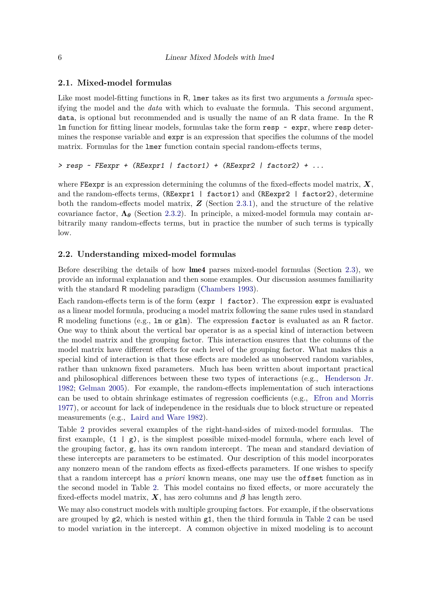## **2.1. Mixed-model formulas**

Like most model-fitting functions in R, lmer takes as its first two arguments a *formula* specifying the model and the *data* with which to evaluate the formula. This second argument, data, is optional but recommended and is usually the name of an R data frame. In the R lm function for fitting linear models, formulas take the form  $resp$   $\sim$   $expr$ , where  $resp$  determines the response variable and expr is an expression that specifies the columns of the model matrix. Formulas for the lmer function contain special random-effects terms,

```
> resp ~ FEexpr + (REexpr1 | factor1) + (REexpr2 | factor2) + ...
```
where FEexpr is an expression determining the columns of the fixed-effects model matrix,  $\boldsymbol{X}$ , and the random-effects terms, (REexpr1 | factor1) and (REexpr2 | factor2), determine both the random-effects model matrix, *Z* (Section [2.3.1\)](#page-8-0), and the structure of the relative covariance factor, **Λ***<sup>θ</sup>* (Section [2.3.2\)](#page-10-0). In principle, a mixed-model formula may contain arbitrarily many random-effects terms, but in practice the number of such terms is typically low.

## <span id="page-5-0"></span>**2.2. Understanding mixed-model formulas**

Before describing the details of how lme4 parses mixed-model formulas (Section [2.3\)](#page-7-0), we provide an informal explanation and then some examples. Our discussion assumes familiarity with the standard R modeling paradigm [\(Chambers 1993\)](#page-39-7).

Each random-effects term is of the form  $(\exp r \mid \text{factor})$ . The expression  $\exp r$  is evaluated as a linear model formula, producing a model matrix following the same rules used in standard R modeling functions (e.g., lm or glm). The expression factor is evaluated as an R factor. One way to think about the vertical bar operator is as a special kind of interaction between the model matrix and the grouping factor. This interaction ensures that the columns of the model matrix have different effects for each level of the grouping factor. What makes this a special kind of interaction is that these effects are modeled as unobserved random variables, rather than unknown fixed parameters. Much has been written about important practical and philosophical differences between these two types of interactions (e.g., [Henderson Jr.](#page-40-1) [1982;](#page-40-1) [Gelman 2005\)](#page-40-2). For example, the random-effects implementation of such interactions can be used to obtain shrinkage estimates of regression coefficients (e.g., [Efron and Morris](#page-40-3) [1977\)](#page-40-3), or account for lack of independence in the residuals due to block structure or repeated measurements (e.g., [Laird and Ware 1982\)](#page-41-2).

Table [2](#page-6-0) provides several examples of the right-hand-sides of mixed-model formulas. The first example,  $(1 | g)$ , is the simplest possible mixed-model formula, where each level of the grouping factor, g, has its own random intercept. The mean and standard deviation of these intercepts are parameters to be estimated. Our description of this model incorporates any nonzero mean of the random effects as fixed-effects parameters. If one wishes to specify that a random intercept has *a priori* known means, one may use the offset function as in the second model in Table [2.](#page-6-0) This model contains no fixed effects, or more accurately the fixed-effects model matrix,  $\boldsymbol{X}$ , has zero columns and  $\boldsymbol{\beta}$  has length zero.

We may also construct models with multiple grouping factors. For example, if the observations are grouped by  $g2$  $g2$ , which is nested within  $g1$ , then the third formula in Table 2 can be used to model variation in the intercept. A common objective in mixed modeling is to account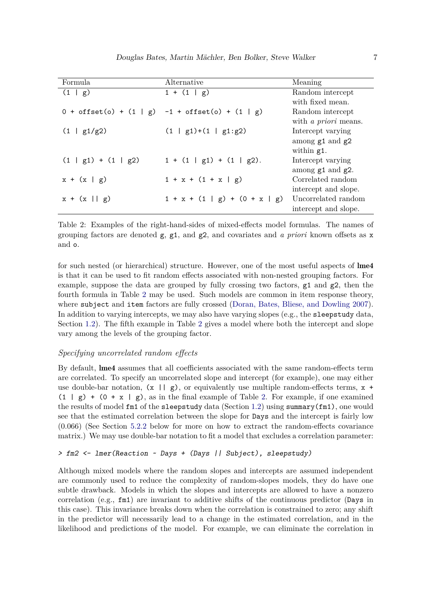| Formula               | Alternative                                                      | Meaning                     |
|-----------------------|------------------------------------------------------------------|-----------------------------|
| (1   g)               | $1 + (1   g)$                                                    | Random intercept            |
|                       |                                                                  | with fixed mean.            |
|                       | $0 + \text{offset}(o) + (1   g) -1 + \text{offset}(o) + (1   g)$ | Random intercept            |
|                       |                                                                  | with <i>a priori</i> means. |
| (1   g1/g2)           | $(1   g1)+(1   g1:g2)$                                           | Intercept varying           |
|                       |                                                                  | among $g1$ and $g2$         |
|                       |                                                                  | within $g1$ .               |
| $(1   g1) + (1   g2)$ | $1 + (1 \mid g1) + (1 \mid g2)$ .                                | Intercept varying           |
|                       |                                                                  | among $g1$ and $g2$ .       |
| $x + (x \mid g)$      | $1 + x + (1 + x   g)$                                            | Correlated random           |
|                       |                                                                  | intercept and slope.        |
| $x + (x    g)$        | $1 + x + (1   g) + (0 + x   g)$                                  | Uncorrelated random         |
|                       |                                                                  | intercept and slope.        |

<span id="page-6-0"></span>Table 2: Examples of the right-hand-sides of mixed-effects model formulas. The names of grouping factors are denoted g, g1, and g2, and covariates and *a priori* known offsets as x and o.

for such nested (or hierarchical) structure. However, one of the most useful aspects of lme4 is that it can be used to fit random effects associated with non-nested grouping factors. For example, suppose the data are grouped by fully crossing two factors,  $g1$  and  $g2$ , then the fourth formula in Table [2](#page-6-0) may be used. Such models are common in item response theory, where subject and item factors are fully crossed [\(Doran, Bates, Bliese, and Dowling 2007\)](#page-40-4). In addition to varying intercepts, we may also have varying slopes (e.g., the sleepstudy data, Section [1.2\)](#page-2-0). The fifth example in Table [2](#page-6-0) gives a model where both the intercept and slope vary among the levels of the grouping factor.

## <span id="page-6-1"></span>*Specifying uncorrelated random effects*

By default, lme4 assumes that all coefficients associated with the same random-effects term are correlated. To specify an uncorrelated slope and intercept (for example), one may either use double-bar notation,  $(x \mid g)$ , or equivalently use multiple random-effects terms,  $x +$  $(1 | g) + (0 + x | g)$ , as in the final example of Table [2.](#page-6-0) For example, if one examined the results of model  $fmt$  of the sleepstudy data (Section [1.2\)](#page-2-0) using summary( $fmt$ ), one would see that the estimated correlation between the slope for Days and the intercept is fairly low (0.066) (See Section [5.2.2](#page-30-0) below for more on how to extract the random-effects covariance matrix.) We may use double-bar notation to fit a model that excludes a correlation parameter:

#### *> fm2 <- lmer(Reaction ~ Days + (Days || Subject), sleepstudy)*

Although mixed models where the random slopes and intercepts are assumed independent are commonly used to reduce the complexity of random-slopes models, they do have one subtle drawback. Models in which the slopes and intercepts are allowed to have a nonzero correlation (e.g.,  $f$ m1) are invariant to additive shifts of the continuous predictor (Days in this case). This invariance breaks down when the correlation is constrained to zero; any shift in the predictor will necessarily lead to a change in the estimated correlation, and in the likelihood and predictions of the model. For example, we can eliminate the correlation in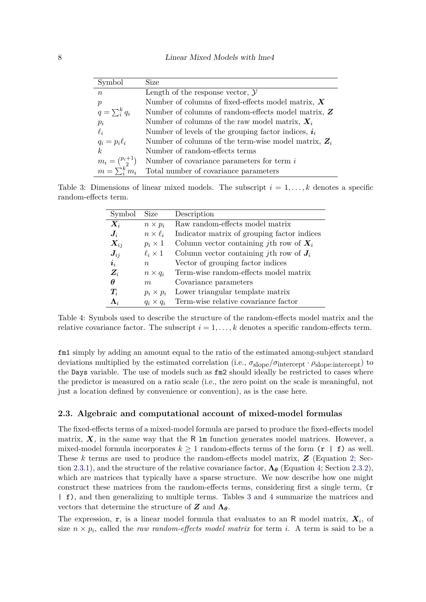| Symbol                   | Size                                                                |
|--------------------------|---------------------------------------------------------------------|
| $\boldsymbol{n}$         | Length of the response vector, $\mathcal Y$                         |
| $\boldsymbol{p}$         | Number of columns of fixed-effects model matrix, $X$                |
| $q=\sum_{i}^{k} q_i$     | Number of columns of random-effects model matrix, $Z$               |
| $p_i$                    | Number of columns of the raw model matrix, $X_i$                    |
| $\ell_i$                 | Number of levels of the grouping factor indices, $\boldsymbol{i}_i$ |
| $q_i = p_i \ell_i$       | Number of columns of the term-wise model matrix, $Z_i$              |
| k <sub>i</sub>           | Number of random-effects terms                                      |
| $m_i = \binom{p_i+1}{2}$ | Number of covariance parameters for term $i$                        |
| $m = \sum_{i=1}^{k} m_i$ | Total number of covariance parameters                               |

Table 3: Dimensions of linear mixed models. The subscript  $i = 1, \ldots, k$  denotes a specific random-effects term.

<span id="page-7-1"></span>

| Symbol                   | Size              | Description                                       |
|--------------------------|-------------------|---------------------------------------------------|
| $\boldsymbol{X}_i$       | $n \times p_i$    | Raw random-effects model matrix                   |
| $\bm{J}_i$               | $n \times \ell_i$ | Indicator matrix of grouping factor indices       |
| $\boldsymbol{X}_{ij}$    | $p_i \times 1$    | Column vector containing <i>j</i> th row of $X_i$ |
| $\bm{J}_{ij}$            | $\ell_i \times 1$ | Column vector containing jth row of $J_i$         |
| $\boldsymbol{i}_i$       | $n_{\rm c}$       | Vector of grouping factor indices                 |
| $Z_i$                    | $n \times q_i$    | Term-wise random-effects model matrix             |
| $\theta$                 | m                 | Covariance parameters                             |
| $\bm{T}_i$               | $p_i \times p_i$  | Lower triangular template matrix                  |
| $\boldsymbol{\Lambda}_i$ | $q_i \times q_i$  | Term-wise relative covariance factor              |

<span id="page-7-2"></span>Table 4: Symbols used to describe the structure of the random-effects model matrix and the relative covariance factor. The subscript  $i = 1, \ldots, k$  denotes a specific random-effects term.

fm1 simply by adding an amount equal to the ratio of the estimated among-subject standard deviations multiplied by the estimated correlation (i.e., *σ*slope*/σ*intercept · *ρ*slope:intercept) to the Days variable. The use of models such as fm2 should ideally be restricted to cases where the predictor is measured on a ratio scale (i.e., the zero point on the scale is meaningful, not just a location defined by convenience or convention), as is the case here.

#### <span id="page-7-0"></span>**2.3. Algebraic and computational account of mixed-model formulas**

The fixed-effects terms of a mixed-model formula are parsed to produce the fixed-effects model matrix,  $X$ , in the same way that the R  $\text{lm}$  function generates model matrices. However, a mixed-model formula incorporates  $k \geq 1$  random-effects terms of the form  $(r | f)$  as well. These *k* terms are used to produce the random-effects model matrix, *Z* (Equation [2;](#page-2-1) Sec-tion [2.3.1\)](#page-8-0), and the structure of the relative covariance factor,  $\Lambda_{\theta}$  (Equation [4;](#page-2-3) Section [2.3.2\)](#page-10-0), which are matrices that typically have a sparse structure. We now describe how one might construct these matrices from the random-effects terms, considering first a single term,  $(r)$ | f), and then generalizing to multiple terms. Tables [3](#page-7-1) and [4](#page-7-2) summarize the matrices and vectors that determine the structure of  $Z$  and  $\Lambda_{\theta}$ .

The expression, r, is a linear model formula that evaluates to an R model matrix,  $X_i$ , of size  $n \times p_i$ , called the *raw random-effects model matrix* for term *i*. A term is said to be a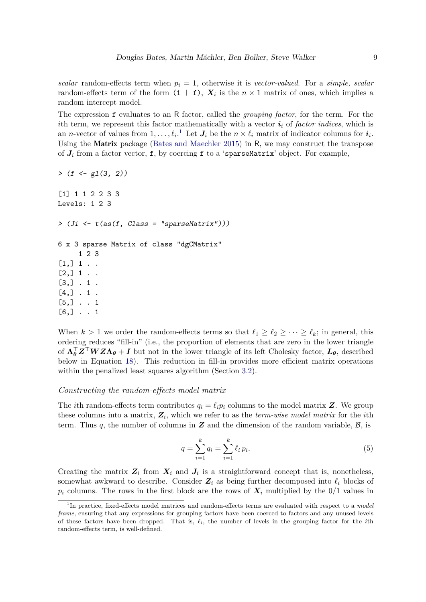*scalar* random-effects term when *p<sup>i</sup>* = 1, otherwise it is *vector-valued*. For a *simple, scalar* random-effects term of the form  $(1 \mid f)$ ,  $X_i$  is the  $n \times 1$  matrix of ones, which implies a random intercept model.

The expression f evaluates to an R factor, called the *grouping factor*, for the term. For the *i*th term, we represent this factor mathematically with a vector  $i_i$  of *factor indices*, which is an *n*-vector of values from  $1, \ldots, \ell_i$  $1, \ldots, \ell_i$ <sup>1</sup>. Let  $J_i$  be the  $n \times \ell_i$  matrix of indicator columns for  $i_i$ . Using the Matrix package [\(Bates and Maechler 2015\)](#page-39-8) in R, we may construct the transpose of  $J_i$  from a factor vector, f, by coercing f to a 'sparseMatrix' object. For example,

```
> (f <- gl(3, 2))
[1] 1 1 2 2 3 3
Levels: 1 2 3
> (Ji <- t(as(f, Class = "sparseMatrix")))
6 x 3 sparse Matrix of class "dgCMatrix"
     1 2 3
[1,] 1.
[2,] 1 . .[3,] . 1 .
[4,] . 1.
[5,] . . 1
[6,] . . 1
```
When  $k > 1$  we order the random-effects terms so that  $\ell_1 \geq \ell_2 \geq \cdots \geq \ell_k$ ; in general, this ordering reduces "fill-in" (i.e., the proportion of elements that are zero in the lower triangle of  $\Lambda_{\theta}^{\top}Z^{\top}WZ\Lambda_{\theta} + I$  but not in the lower triangle of its left Cholesky factor,  $L_{\theta}$ , described below in Equation [18\)](#page-13-0). This reduction in fill-in provides more efficient matrix operations within the penalized least squares algorithm (Section [3.2\)](#page-12-0).

## <span id="page-8-0"></span>*Constructing the random-effects model matrix*

The *i*th random-effects term contributes  $q_i = \ell_i p_i$  columns to the model matrix **Z**. We group these columns into a matrix, *Z<sup>i</sup>* , which we refer to as the *term-wise model matrix* for the *i*th term. Thus  $q$ , the number of columns in  $Z$  and the dimension of the random variable,  $B$ , is

$$
q = \sum_{i=1}^{k} q_i = \sum_{i=1}^{k} \ell_i p_i.
$$
 (5)

Creating the matrix  $Z_i$  from  $X_i$  and  $J_i$  is a straightforward concept that is, nonetheless, somewhat awkward to describe. Consider  $Z_i$  as being further decomposed into  $\ell_i$  blocks of  $p_i$  columns. The rows in the first block are the rows of  $X_i$  multiplied by the  $0/1$  values in

<span id="page-8-1"></span><sup>&</sup>lt;sup>1</sup>In practice, fixed-effects model matrices and random-effects terms are evaluated with respect to a *model frame*, ensuring that any expressions for grouping factors have been coerced to factors and any unused levels of these factors have been dropped. That is, *ℓi*, the number of levels in the grouping factor for the *i*th random-effects term, is well-defined.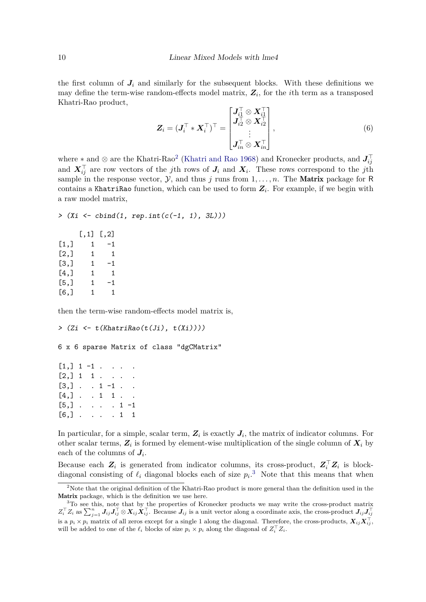the first column of  $J_i$  and similarly for the subsequent blocks. With these definitions we may define the term-wise random-effects model matrix, *Z<sup>i</sup>* , for the *i*th term as a transposed Khatri-Rao product,  $\pm$ 

<span id="page-9-2"></span>
$$
\mathbf{Z}_{i} = (\mathbf{J}_{i}^{\top} * \mathbf{X}_{i}^{\top})^{\top} = \begin{bmatrix} \mathbf{J}_{i1}^{\top} \otimes \mathbf{X}_{i1}^{\top} \\ \mathbf{J}_{i2}^{\top} \otimes \mathbf{X}_{i2}^{\top} \\ \vdots \\ \mathbf{J}_{in}^{\top} \otimes \mathbf{X}_{in}^{\top} \end{bmatrix},
$$
\n
$$
(6)
$$

where  $*$  and  $\otimes$  are the Khatri-Rao<sup>[2](#page-9-0)</sup> [\(Khatri and Rao 1968\)](#page-41-3) and Kronecker products, and  $J_{ij}^{\top}$ and  $X_{ij}^{\top}$  are row vectors of the *j*th rows of  $J_i$  and  $X_i$ . These rows correspond to the *j*th sample in the response vector,  $\mathcal{Y}$ , and thus *j* runs from  $1, \ldots, n$ . The **Matrix** package for R contains a KhatriRao function, which can be used to form  $Z_i$ . For example, if we begin with a raw model matrix,

```
> (Xi <- cbind(1, rep.int(c(-1, 1), 3L)))
```

| $[\, . \, 1]$ | $\left[ 1, 2 \right]$ |
|---------------|-----------------------|
| 1             | -1                    |
| 1             | 1                     |
| 1             | -1                    |
| 1             | 1                     |
| 1             | -1                    |
| 1             | 1                     |
|               |                       |

then the term-wise random-effects model matrix is,

```
> (Zi <- t(KhatriRao(t(Ji), t(Xi))))
6 x 6 sparse Matrix of class "dgCMatrix"
```

| $[1,] 1 -1$                    |  |  |  |
|--------------------------------|--|--|--|
| $[2,] 1 1 \ldots$              |  |  |  |
| $[3,] \cdot 1 - 1 \cdot \cdot$ |  |  |  |
| $[4,]$ 1 1                     |  |  |  |
| $[5,]$ 1 -1                    |  |  |  |
| $[6,]$ 1 1                     |  |  |  |

In particular, for a simple, scalar term,  $Z_i$  is exactly  $J_i$ , the matrix of indicator columns. For other scalar terms,  $Z_i$  is formed by element-wise multiplication of the single column of  $X_i$  by each of the columns of  $J_i$ .

Because each  $Z_i$  is generated from indicator columns, its cross-product,  $Z_i^{\top} Z_i$  is blockdiagonal consisting of  $\ell_i$  diagonal blocks each of size  $p_i$ <sup>[3](#page-9-1)</sup>. Note that this means that when

<span id="page-9-0"></span><sup>2</sup>Note that the original definition of the Khatri-Rao product is more general than the definition used in the Matrix package, which is the definition we use here.

<span id="page-9-1"></span><sup>&</sup>lt;sup>3</sup>To see this, note that by the properties of Kronecker products we may write the cross-product matrix  $Z_i^{\top} Z_i$  as  $\sum_{j=1}^n J_{ij} J_{ij}^{\top} \otimes X_{ij} X_{ij}^{\top}$ . Because  $J_{ij}$  is a unit vector along a coordinate axis, the cross-product  $J_{ij} J_{ij}^{\top}$ is a  $p_i \times p_i$  matrix of all zeros except for a single 1 along the diagonal. Therefore, the cross-products,  $X_{ij} X_{ij}^{\top}$ will be added to one of the  $\ell_i$  blocks of size  $p_i \times p_i$  along the diagonal of  $Z_i^{\top} Z_i$ .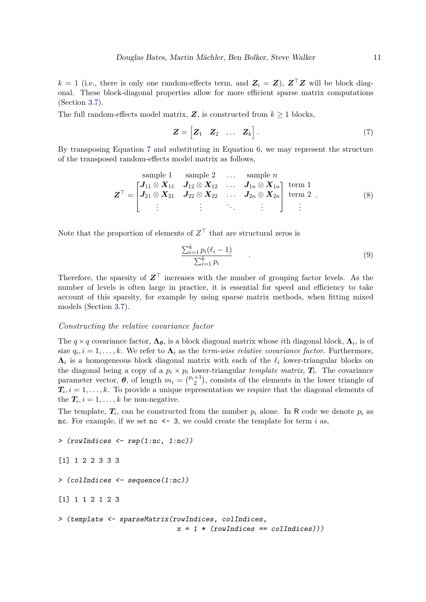*k* = 1 (i.e., there is only one random-effects term, and  $\mathbf{Z}_i = \mathbf{Z}$ ),  $\mathbf{Z}^\top \mathbf{Z}$  will be block diagonal. These block-diagonal properties allow for more efficient sparse matrix computations (Section [3.7\)](#page-22-0).

The full random-effects model matrix,  $Z$ , is constructed from  $k \geq 1$  blocks,

<span id="page-10-1"></span>
$$
\mathbf{Z} = \begin{bmatrix} \mathbf{Z}_1 & \mathbf{Z}_2 & \dots & \mathbf{Z}_k \end{bmatrix} . \tag{7}
$$

By transposing Equation [7](#page-10-1) and substituting in Equation [6,](#page-9-2) we may represent the structure of the transposed random-effects model matrix as follows,

sample 1 sample 2 ... sample *n*  
\n
$$
\mathbf{Z}^{\top} = \begin{bmatrix}\n\mathbf{J}_{11} \otimes \mathbf{X}_{11} & \mathbf{J}_{12} \otimes \mathbf{X}_{12} & \dots & \mathbf{J}_{1n} \otimes \mathbf{X}_{1n} \\
\mathbf{J}_{21} \otimes \mathbf{X}_{21} & \mathbf{J}_{22} \otimes \mathbf{X}_{22} & \dots & \mathbf{J}_{2n} \otimes \mathbf{X}_{2n} \\
\vdots & \vdots & \ddots & \vdots\n\end{bmatrix} \text{ term 1}
$$
\n(8)

Note that the proportion of elements of  $Z<sup>T</sup>$  that are structural zeros is

$$
\frac{\sum_{i=1}^{k} p_i(\ell_i - 1)}{\sum_{i=1}^{k} p_i} \tag{9}
$$

Therefore, the sparsity of *Z*<sup>⊤</sup> increases with the number of grouping factor levels. As the number of levels is often large in practice, it is essential for speed and efficiency to take account of this sparsity, for example by using sparse matrix methods, when fitting mixed models (Section [3.7\)](#page-22-0).

#### <span id="page-10-0"></span>*Constructing the relative covariance factor*

The  $q \times q$  covariance factor,  $\Lambda_{\theta}$ , is a block diagonal matrix whose *i*th diagonal block,  $\Lambda_i$ , is of size  $q_i$ ,  $i = 1, ..., k$ . We refer to  $\Lambda_i$  as the *term-wise relative covariance factor*. Furthermore,  $\Lambda_i$  is a homogeneous block diagonal matrix with each of the  $\ell_i$  lower-triangular blocks on the diagonal being a copy of a  $p_i \times p_i$  lower-triangular *template matrix*,  $T_i$ . The covariance parameter vector,  $\theta$ , of length  $m_i = \binom{p_i+1}{2}$ , consists of the elements in the lower triangle of  $T_i$ ,  $i = 1, \ldots, k$ . To provide a unique representation we require that the diagonal elements of the  $T_i$ ,  $i = 1, ..., k$  be non-negative.

The template,  $T_i$ , can be constructed from the number  $p_i$  alone. In R code we denote  $p_i$  as nc. For example, if we set nc  $\leq$  3, we could create the template for term *i* as,

```
> (rowIndices <- rep(1:nc, 1:nc))
```

```
[1] 1 2 2 3 3 3
```

```
> (colIndices <- sequence(1:nc))
```
[1] 1 1 2 1 2 3

```
> (template <- sparseMatrix(rowIndices, colIndices,
                             x = 1 * (rowindices == collindices)))
```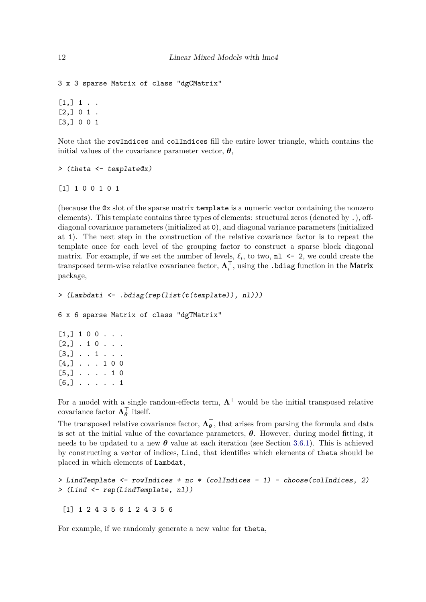```
3 x 3 sparse Matrix of class "dgCMatrix"
[1,] 1 . .
```
 $[2,] 0 1.$ [3,] 0 0 1

Note that the rowIndices and colIndices fill the entire lower triangle, which contains the initial values of the covariance parameter vector,  $\theta$ ,

```
> (theta <- template@x)
```

```
[1] 1 0 0 1 0 1
```
(because the @x slot of the sparse matrix template is a numeric vector containing the nonzero elements). This template contains three types of elements: structural zeros (denoted by .), offdiagonal covariance parameters (initialized at 0), and diagonal variance parameters (initialized at 1). The next step in the construction of the relative covariance factor is to repeat the template once for each level of the grouping factor to construct a sparse block diagonal matrix. For example, if we set the number of levels,  $\ell_i$ , to two,  $n \geq -2$ , we could create the  $\text{transposed term-wise relative covariance factor, } \mathbf{\Lambda}_i^\top, \text{ using the }.\texttt{bdiag function in the Matrix}$ package,

```
> (Lambdati <- .bdiag(rep(list(t(template)), nl)))
```
6 x 6 sparse Matrix of class "dgTMatrix"

| $[1, 1 1 0 0 \ldots]$ |  |  |  |  |
|-----------------------|--|--|--|--|
| $[2,]$ . 10.          |  |  |  |  |
| $[3,]$ 1              |  |  |  |  |
| $[4,] \ldots 100$     |  |  |  |  |
| $[5,] \ldots$ 10      |  |  |  |  |
| $[6,]$ 1              |  |  |  |  |

For a model with a single random-effects term,  $\Lambda^{\top}$  would be the initial transposed relative covariance factor  $\Lambda_{\theta}^{\top}$  itself.

The transposed relative covariance factor,  $\Lambda_{\theta}^{\top}$ , that arises from parsing the formula and data is set at the initial value of the covariance parameters,  $\theta$ . However, during model fitting, it needs to be updated to a new  $\theta$  value at each iteration (see Section [3.6.1\)](#page-18-1). This is achieved by constructing a vector of indices, Lind, that identifies which elements of theta should be placed in which elements of Lambdat,

```
> LindTemplate <- rowIndices + nc * (colIndices - 1) - choose(colIndices, 2)
> (Lind <- rep(LindTemplate, nl))
```
[1] 1 2 4 3 5 6 1 2 4 3 5 6

For example, if we randomly generate a new value for theta,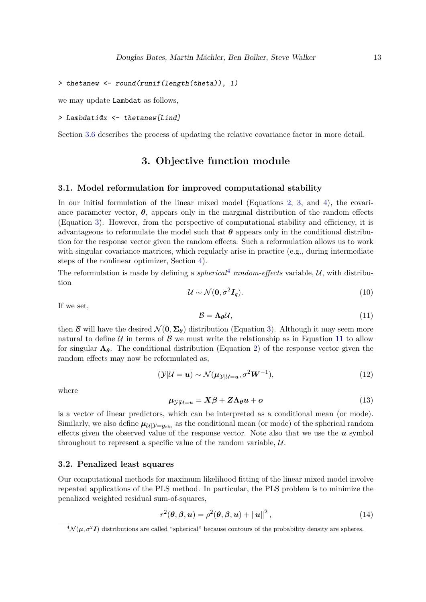```
> thetanew <- round(runif(length(theta)), 1)
```
we may update Lambdat as follows,

```
> Lambdati@x <- thetanew[Lind]
```
<span id="page-12-1"></span>Section [3.6](#page-18-0) describes the process of updating the relative covariance factor in more detail.

## **3. Objective function module**

#### <span id="page-12-5"></span>**3.1. Model reformulation for improved computational stability**

In our initial formulation of the linear mixed model (Equations [2,](#page-2-1) [3,](#page-2-2) and [4\)](#page-2-3), the covariance parameter vector,  $\theta$ , appears only in the marginal distribution of the random effects (Equation [3\)](#page-2-2). However, from the perspective of computational stability and efficiency, it is advantageous to reformulate the model such that  $\theta$  appears only in the conditional distribution for the response vector given the random effects. Such a reformulation allows us to work with singular covariance matrices, which regularly arise in practice (e.g., during intermediate steps of the nonlinear optimizer, Section [4\)](#page-23-0).

The reformulation is made by defining a *spherical*<sup>[4](#page-12-2)</sup> random-effects variable,  $U$ , with distribution

$$
\mathcal{U} \sim \mathcal{N}(\mathbf{0}, \sigma^2 \mathbf{I}_q). \tag{10}
$$

<span id="page-12-3"></span>If we set,

<span id="page-12-7"></span>
$$
\mathcal{B} = \Lambda_{\theta} \mathcal{U},\tag{11}
$$

then B will have the desired  $\mathcal{N}(\mathbf{0}, \Sigma_{\theta})$  distribution (Equation [3\)](#page-2-2). Although it may seem more natural to define U in terms of B we must write the relationship as in Equation [11](#page-12-3) to allow for singular  $\Lambda_{\theta}$ . The conditional distribution (Equation [2\)](#page-2-1) of the response vector given the random effects may now be reformulated as,

$$
(\mathcal{Y}|\mathcal{U} = \mathbf{u}) \sim \mathcal{N}(\boldsymbol{\mu}_{\mathcal{Y}|\mathcal{U}=\mathbf{u}}, \sigma^2 \mathbf{W}^{-1}),
$$
\n(12)

<span id="page-12-6"></span>where

$$
\mu_{\mathcal{Y}|U=u} = X\beta + Z\Lambda_{\theta}u + o \tag{13}
$$

is a vector of linear predictors, which can be interpreted as a conditional mean (or mode). Similarly, we also define  $\mu_{U|\mathcal{Y}=\mathcal{Y}_{\text{obs}}}$  as the conditional mean (or mode) of the spherical random effects given the observed value of the response vector. Note also that we use the *u* symbol throughout to represent a specific value of the random variable,  $\mathcal{U}$ .

## <span id="page-12-0"></span>**3.2. Penalized least squares**

Our computational methods for maximum likelihood fitting of the linear mixed model involve repeated applications of the PLS method. In particular, the PLS problem is to minimize the penalized weighted residual sum-of-squares,

<span id="page-12-4"></span>
$$
r^{2}(\boldsymbol{\theta}, \boldsymbol{\beta}, \boldsymbol{u}) = \rho^{2}(\boldsymbol{\theta}, \boldsymbol{\beta}, \boldsymbol{u}) + ||\boldsymbol{u}||^{2},
$$
\n(14)

<span id="page-12-2"></span> ${}^4\mathcal{N}(\mu, \sigma^2 I)$  distributions are called "spherical" because contours of the probability density are spheres.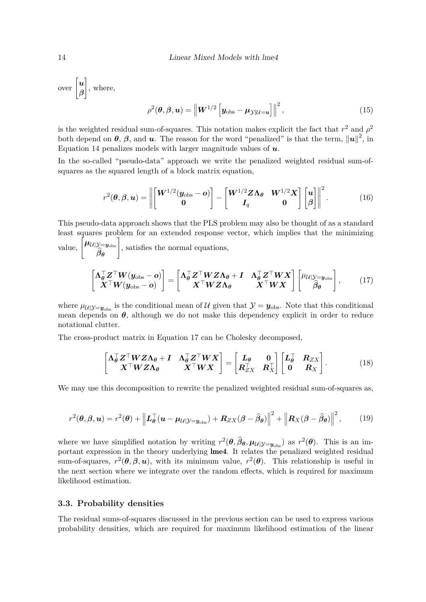$\sum_{\text{over}}$   $\begin{bmatrix} u \\ a \end{bmatrix}$ *β* 1 , where,

<span id="page-13-2"></span>
$$
\rho^{2}(\boldsymbol{\theta}, \boldsymbol{\beta}, \boldsymbol{u}) = \left\| \boldsymbol{W}^{1/2} \left[ \boldsymbol{y}_{\text{obs}} - \boldsymbol{\mu}_{\mathcal{Y}|\mathcal{U}=u} \right] \right\|^{2}, \tag{15}
$$

is the weighted residual sum-of-squares. This notation makes explicit the fact that  $r^2$  and  $\rho^2$ both depend on  $\theta$ ,  $\beta$ , and  $\boldsymbol{u}$ . The reason for the word "penalized" is that the term,  $\|\boldsymbol{u}\|^2$ , in Equation [14](#page-12-4) penalizes models with larger magnitude values of *u*.

In the so-called "pseudo-data" approach we write the penalized weighted residual sum-ofsquares as the squared length of a block matrix equation.

<span id="page-13-1"></span>
$$
r^{2}(\boldsymbol{\theta},\boldsymbol{\beta},\boldsymbol{u}) = \left\| \begin{bmatrix} \boldsymbol{W}^{1/2}(\boldsymbol{y}_{\text{obs}} - \boldsymbol{o}) \\ \boldsymbol{0} \end{bmatrix} - \begin{bmatrix} \boldsymbol{W}^{1/2} \boldsymbol{Z} \boldsymbol{\Lambda}_{\boldsymbol{\theta}} & \boldsymbol{W}^{1/2} \boldsymbol{X} \\ \boldsymbol{I}_{q} & \boldsymbol{0} \end{bmatrix} \begin{bmatrix} \boldsymbol{u} \\ \boldsymbol{\beta} \end{bmatrix} \right\|^{2}.
$$
 (16)

This pseudo-data approach shows that the PLS problem may also be thought of as a standard least squares problem for an extended response vector, which implies that the minimizing value,  $\int$  $\left[\mu_{\mathcal{U}|\mathcal{Y}=y_\mathrm{obs}}\right]$ 

value, 
$$
\left[\begin{array}{c} \mu_{\mathcal{U}} |y=y_{\text{obs}} \\ \hat{\beta}_{\theta} \end{array}\right]
$$
, satisfies the normal equations,

$$
\begin{bmatrix} \Lambda_{\theta}^{\top} Z^{\top} W (y_{\text{obs}} - \mathbf{o}) \\ X^{\top} W (y_{\text{obs}} - \mathbf{o}) \end{bmatrix} = \begin{bmatrix} \Lambda_{\theta}^{\top} Z^{\top} W Z \Lambda_{\theta} + I & \Lambda_{\theta}^{\top} Z^{\top} W X \\ X^{\top} W Z \Lambda_{\theta} & X^{\top} W X \end{bmatrix} \begin{bmatrix} \mu_{\mathcal{U}} | y_{=y_{\text{obs}}} \\ \hat{\beta}_{\theta} \end{bmatrix}, \quad (17)
$$

where  $\mu_{\mathcal{U}|\mathcal{Y}=\mathbf{y}_{obs}}$  is the conditional mean of  $\mathcal{U}$  given that  $\mathcal{Y}=\mathbf{y}_{obs}$ . Note that this conditional mean depends on *θ*, although we do not make this dependency explicit in order to reduce notational clutter.

The cross-product matrix in Equation [17](#page-13-1) can be Cholesky decomposed,

<span id="page-13-0"></span>
$$
\begin{bmatrix} \Lambda_{\theta}^{\top} Z^{\top} W Z \Lambda_{\theta} + I & \Lambda_{\theta}^{\top} Z^{\top} W X \\ X^{\top} W Z \Lambda_{\theta} & X^{\top} W X \end{bmatrix} = \begin{bmatrix} L_{\theta} & 0 \\ R_{ZX}^{\top} & R_X^{\top} \end{bmatrix} \begin{bmatrix} L_{\theta}^{\top} & R_{ZX} \\ 0 & R_X \end{bmatrix}.
$$
 (18)

<span id="page-13-3"></span>We may use this decomposition to rewrite the penalized weighted residual sum-of-squares as,

$$
r^{2}(\boldsymbol{\theta},\boldsymbol{\beta},\boldsymbol{u})=r^{2}(\boldsymbol{\theta})+\left\|\boldsymbol{L}_{\boldsymbol{\theta}}^{\top}(\boldsymbol{u}-\boldsymbol{\mu}_{\mathcal{U}|\mathcal{Y}=\boldsymbol{y}_{\mathrm{obs}}})+\boldsymbol{R}_{ZX}(\boldsymbol{\beta}-\boldsymbol{\widehat{\beta}}_{\boldsymbol{\theta}})\right\|^{2}+\left\|\boldsymbol{R}_{X}(\boldsymbol{\beta}-\boldsymbol{\widehat{\beta}}_{\boldsymbol{\theta}})\right\|^{2},\qquad(19)
$$

where we have simplified notation by writing  $r^2(\theta, \hat{\beta}_{\theta}, \mu_{\mathcal{U}|\mathcal{Y}=\mathbf{y}_{\text{obs}}})$  as  $r^2(\theta)$ . This is an important expression in the theory underlying lme4. It relates the penalized weighted residual sum-of-squares,  $r^2(\theta, \beta, u)$ , with its minimum value,  $r^2(\theta)$ . This relationship is useful in the next section where we integrate over the random effects, which is required for maximum likelihood estimation.

### **3.3. Probability densities**

The residual sums-of-squares discussed in the previous section can be used to express various probability densities, which are required for maximum likelihood estimation of the linear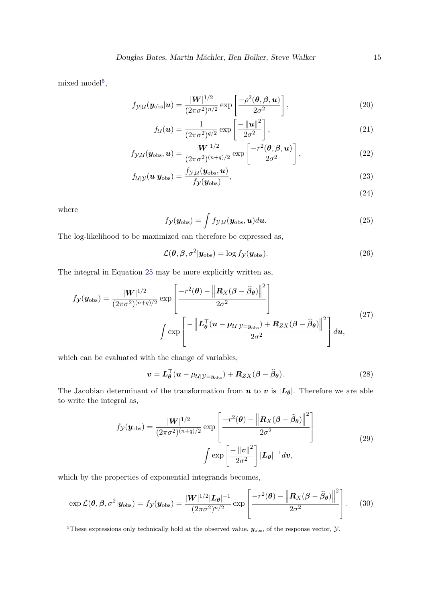mixed model<sup>[5](#page-14-0)</sup>,

$$
f_{\mathcal{Y}|\mathcal{U}}(\boldsymbol{y}_{\text{obs}}|\boldsymbol{u}) = \frac{|\boldsymbol{W}|^{1/2}}{(2\pi\sigma^2)^{n/2}} \exp\left[\frac{-\rho^2(\boldsymbol{\theta}, \boldsymbol{\beta}, \boldsymbol{u})}{2\sigma^2}\right],
$$
\n(20)

$$
f_{\mathcal{U}}(\boldsymbol{u}) = \frac{1}{(2\pi\sigma^2)^{q/2}} \exp\left[\frac{-\|\boldsymbol{u}\|^2}{2\sigma^2}\right],\tag{21}
$$

$$
f_{\mathcal{Y},\mathcal{U}}(\boldsymbol{y}_{\text{obs}},\boldsymbol{u}) = \frac{|\boldsymbol{W}|^{1/2}}{(2\pi\sigma^2)^{(n+q)/2}} \exp\left[\frac{-r^2(\boldsymbol{\theta},\boldsymbol{\beta},\boldsymbol{u})}{2\sigma^2}\right],
$$
\n(22)

$$
f_{\mathcal{U}|\mathcal{Y}}(\boldsymbol{u}|\boldsymbol{y}_{\text{obs}}) = \frac{f_{\mathcal{Y},\mathcal{U}}(\boldsymbol{y}_{\text{obs}},\boldsymbol{u})}{f_{\mathcal{Y}}(\boldsymbol{y}_{\text{obs}})},
$$
(23)

<span id="page-14-2"></span>(24)

<span id="page-14-1"></span>where

$$
f_{\mathcal{Y}}(\boldsymbol{y}_{\text{obs}}) = \int f_{\mathcal{Y}, \mathcal{U}}(\boldsymbol{y}_{\text{obs}}, \boldsymbol{u}) d\boldsymbol{u}.
$$
 (25)

The log-likelihood to be maximized can therefore be expressed as,

$$
\mathcal{L}(\boldsymbol{\theta}, \boldsymbol{\beta}, \sigma^2 | \mathbf{y}_{\text{obs}}) = \log f_{\mathcal{Y}}(\mathbf{y}_{\text{obs}}). \tag{26}
$$

The integral in Equation [25](#page-14-1) may be more explicitly written as,

$$
f_{\mathcal{Y}}(\mathbf{y}_{\text{obs}}) = \frac{|\mathbf{W}|^{1/2}}{(2\pi\sigma^2)^{(n+q)/2}} \exp\left[\frac{-r^2(\boldsymbol{\theta}) - \left\|\mathbf{R}_X(\boldsymbol{\beta} - \hat{\boldsymbol{\beta}}_{\boldsymbol{\theta}})\right\|^2}{2\sigma^2}\right]
$$

$$
\int \exp\left[\frac{-\left\|\boldsymbol{L}_{\boldsymbol{\theta}}^\top(\mathbf{u} - \boldsymbol{\mu}_{\mathcal{U}|\mathcal{Y} = \mathbf{y}_{\text{obs}}}) + \mathbf{R}_{ZX}(\boldsymbol{\beta} - \hat{\boldsymbol{\beta}}_{\boldsymbol{\theta}})\right\|^2}{2\sigma^2}\right] d\mathbf{u},\tag{27}
$$

which can be evaluated with the change of variables,

$$
\boldsymbol{v} = \boldsymbol{L}_{\boldsymbol{\theta}}^{\top} (\boldsymbol{u} - \mu_{\mathcal{U}|\mathcal{Y} = \boldsymbol{y}_{\text{obs}}}) + \boldsymbol{R}_{ZX} (\boldsymbol{\beta} - \widehat{\boldsymbol{\beta}}_{\boldsymbol{\theta}}). \tag{28}
$$

The Jacobian determinant of the transformation from  $u$  to  $v$  is  $|L_{\theta}|$ . Therefore we are able to write the integral as,

$$
f_{\mathcal{Y}}(\mathbf{y}_{\text{obs}}) = \frac{|\mathbf{W}|^{1/2}}{(2\pi\sigma^2)^{(n+q)/2}} \exp\left[\frac{-r^2(\boldsymbol{\theta}) - \left\|\mathbf{R}_X(\boldsymbol{\beta} - \hat{\boldsymbol{\beta}}_{\boldsymbol{\theta}})\right\|^2}{2\sigma^2}\right]
$$
  

$$
\int \exp\left[\frac{-\|\mathbf{v}\|^2}{2\sigma^2}\right] |\mathbf{L}_{\boldsymbol{\theta}}|^{-1} d\mathbf{v},
$$
 (29)

which by the properties of exponential integrands becomes,

$$
\exp \mathcal{L}(\boldsymbol{\theta}, \boldsymbol{\beta}, \sigma^2 | \mathbf{y}_{\text{obs}}) = f_{\mathcal{Y}}(\mathbf{y}_{\text{obs}}) = \frac{|\mathbf{W}|^{1/2} |\mathbf{L}_{\boldsymbol{\theta}}|^{-1}}{(2\pi\sigma^2)^{n/2}} \exp \left[ \frac{-r^2(\boldsymbol{\theta}) - \left\| \mathbf{R}_X(\boldsymbol{\beta} - \widehat{\boldsymbol{\beta}}_{\boldsymbol{\theta}}) \right\|^2}{2\sigma^2} \right].
$$
 (30)

<span id="page-14-0"></span><sup>&</sup>lt;sup>5</sup>These expressions only technically hold at the observed value,  $y_{\text{obs}}$ , of the response vector,  $\mathcal{Y}$ .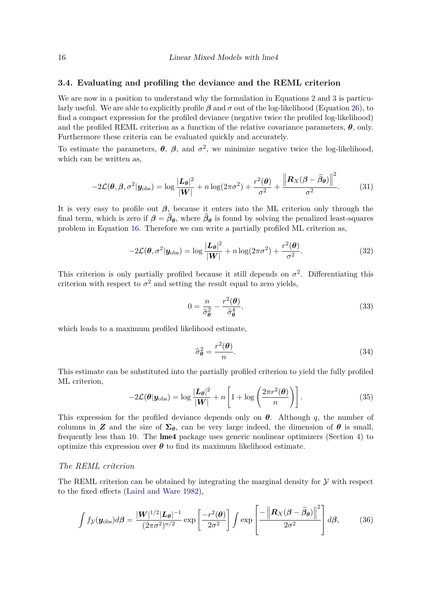#### <span id="page-15-0"></span>**3.4. Evaluating and profiling the deviance and the REML criterion**

We are now in a position to understand why the formulation in Equations [2](#page-2-1) and [3](#page-2-2) is particularly useful. We are able to explicitly profile *β* and *σ* out of the log-likelihood (Equation [26\)](#page-14-2), to find a compact expression for the profiled deviance (negative twice the profiled log-likelihood) and the profiled REML criterion as a function of the relative covariance parameters,  $\theta$ , only. Furthermore these criteria can be evaluated quickly and accurately.

To estimate the parameters,  $\theta$ ,  $\beta$ , and  $\sigma^2$ , we minimize negative twice the log-likelihood, which can be written as,

$$
-2\mathcal{L}(\boldsymbol{\theta}, \boldsymbol{\beta}, \sigma^2 | \mathbf{y}_{\text{obs}}) = \log \frac{|\mathbf{L}_{\boldsymbol{\theta}}|^2}{|\mathbf{W}|} + n \log(2\pi\sigma^2) + \frac{r^2(\boldsymbol{\theta})}{\sigma^2} + \frac{\left\|\mathbf{R}_{X}(\boldsymbol{\beta} - \widehat{\boldsymbol{\beta}}_{\boldsymbol{\theta}})\right\|^2}{\sigma^2}.
$$
 (31)

It is very easy to profile out *β*, because it enters into the ML criterion only through the final term, which is zero if  $\beta = \beta_{\theta}$ , where  $\beta_{\theta}$  is found by solving the penalized least-squares problem in Equation [16.](#page-13-2) Therefore we can write a partially profiled ML criterion as,

$$
-2\mathcal{L}(\boldsymbol{\theta}, \sigma^2 | \mathbf{y}_{\text{obs}}) = \log \frac{|\mathbf{L}_{\boldsymbol{\theta}}|^2}{|\mathbf{W}|} + n \log(2\pi\sigma^2) + \frac{r^2(\boldsymbol{\theta})}{\sigma^2}.
$$
 (32)

This criterion is only partially profiled because it still depends on  $\sigma^2$ . Differentiating this criterion with respect to  $\sigma^2$  and setting the result equal to zero yields,

$$
0 = \frac{n}{\hat{\sigma}_{\theta}^2} - \frac{r^2(\theta)}{\hat{\sigma}_{\theta}^4},\tag{33}
$$

which leads to a maximum profiled likelihood estimate,

<span id="page-15-2"></span>
$$
\widehat{\sigma}_{\theta}^2 = \frac{r^2(\theta)}{n}.\tag{34}
$$

This estimate can be substituted into the partially profiled criterion to yield the fully profiled ML criterion,

<span id="page-15-1"></span>
$$
-2\mathcal{L}(\boldsymbol{\theta}|\mathbf{y}_{\text{obs}}) = \log \frac{|\mathbf{L}_{\boldsymbol{\theta}}|^2}{|\mathbf{W}|} + n \left[1 + \log \left(\frac{2\pi r^2(\boldsymbol{\theta})}{n}\right)\right].
$$
 (35)

This expression for the profiled deviance depends only on *θ*. Although *q*, the number of columns in **Z** and the size of  $\Sigma_{\theta}$ , can be very large indeed, the dimension of  $\theta$  is small, frequently less than 10. The lme4 package uses generic nonlinear optimizers (Section [4\)](#page-23-0) to optimize this expression over  $\theta$  to find its maximum likelihood estimate.

## *The REML criterion*

The REML criterion can be obtained by integrating the marginal density for  $\mathcal Y$  with respect to the fixed effects [\(Laird and Ware 1982\)](#page-41-2),

$$
\int f_{\mathcal{Y}}(\mathbf{y}_{\text{obs}})d\boldsymbol{\beta} = \frac{|\mathbf{W}|^{1/2}|\mathbf{L}_{\boldsymbol{\theta}}|^{-1}}{(2\pi\sigma^2)^{n/2}} \exp\left[\frac{-r^2(\boldsymbol{\theta})}{2\sigma^2}\right] \int \exp\left[\frac{-\left\|\mathbf{R}_{X}(\boldsymbol{\beta}-\widehat{\boldsymbol{\beta}}_{\boldsymbol{\theta}})\right\|^2}{2\sigma^2}\right] d\boldsymbol{\beta},\tag{36}
$$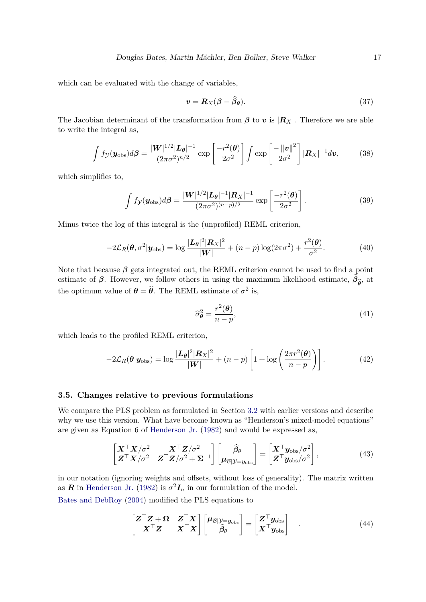which can be evaluated with the change of variables,

$$
\mathbf{v} = \mathbf{R}_X(\boldsymbol{\beta} - \widehat{\boldsymbol{\beta}}_{\boldsymbol{\theta}}). \tag{37}
$$

The Jacobian determinant of the transformation from  $\beta$  to  $v$  is  $|R_X|$ . Therefore we are able to write the integral as,

$$
\int f_{\mathcal{Y}}(\mathbf{y}_{\text{obs}})d\boldsymbol{\beta} = \frac{|\mathbf{W}|^{1/2}|\mathbf{L}_{\boldsymbol{\theta}}|^{-1}}{(2\pi\sigma^2)^{n/2}} \exp\left[\frac{-r^2(\boldsymbol{\theta})}{2\sigma^2}\right] \int \exp\left[\frac{-\|\mathbf{v}\|^2}{2\sigma^2}\right] |\mathbf{R}_X|^{-1} d\mathbf{v},\tag{38}
$$

which simplifies to,

$$
\int f_{\mathcal{Y}}(\mathbf{y}_{\text{obs}})d\boldsymbol{\beta} = \frac{|\mathbf{W}|^{1/2}|\mathbf{L}_{\boldsymbol{\theta}}|^{-1}|\mathbf{R}_{X}|^{-1}}{(2\pi\sigma^{2})^{(n-p)/2}} \exp\left[\frac{-r^{2}(\boldsymbol{\theta})}{2\sigma^{2}}\right].
$$
\n(39)

Minus twice the log of this integral is the (unprofiled) REML criterion,

$$
-2\mathcal{L}_R(\boldsymbol{\theta}, \sigma^2 | \mathbf{y}_{\text{obs}}) = \log \frac{|\mathbf{L}_{\boldsymbol{\theta}}|^2 |\mathbf{R}_X|^2}{|\mathbf{W}|} + (n-p) \log(2\pi\sigma^2) + \frac{r^2(\boldsymbol{\theta})}{\sigma^2}.
$$
 (40)

Note that because  $\beta$  gets integrated out, the REML criterion cannot be used to find a point estimate of *β*. However, we follow others in using the maximum likelihood estimate,  $\beta_{\hat{\theta}}$ , at the optimum value of  $\theta = \hat{\theta}$ . The REML estimate of  $\sigma^2$  is,

<span id="page-16-4"></span><span id="page-16-2"></span><span id="page-16-1"></span>
$$
\widehat{\sigma}_{\theta}^2 = \frac{r^2(\theta)}{n - p},\tag{41}
$$

which leads to the profiled REML criterion,

$$
-2\mathcal{L}_R(\boldsymbol{\theta}|\mathbf{y}_{\text{obs}}) = \log \frac{|\mathbf{L}_{\boldsymbol{\theta}}|^2 |\mathbf{R}_X|^2}{|\mathbf{W}|} + (n-p) \left[1 + \log \left(\frac{2\pi r^2(\boldsymbol{\theta})}{n-p}\right)\right].
$$
 (42)

## <span id="page-16-0"></span>**3.5. Changes relative to previous formulations**

We compare the PLS problem as formulated in Section [3.2](#page-12-0) with earlier versions and describe why we use this version. What have become known as "Henderson's mixed-model equations" are given as Equation 6 of [Henderson Jr.](#page-40-1) [\(1982\)](#page-40-1) and would be expressed as,

$$
\begin{bmatrix} \boldsymbol{X}^{\top} \boldsymbol{X} / \sigma^2 & \boldsymbol{X}^{\top} \boldsymbol{Z} / \sigma^2 \\ \boldsymbol{Z}^{\top} \boldsymbol{X} / \sigma^2 & \boldsymbol{Z}^{\top} \boldsymbol{Z} / \sigma^2 + \boldsymbol{\Sigma}^{-1} \end{bmatrix} \begin{bmatrix} \hat{\beta}_{\theta} \\ \boldsymbol{\mu}_{\mathcal{B} | \mathcal{Y} = \boldsymbol{y}_{\text{obs}}} \end{bmatrix} = \begin{bmatrix} \boldsymbol{X}^{\top} \boldsymbol{y}_{\text{obs}} / \sigma^2 \\ \boldsymbol{Z}^{\top} \boldsymbol{y}_{\text{obs}} / \sigma^2 \end{bmatrix},
$$
(43)

in our notation (ignoring weights and offsets, without loss of generality). The matrix written as *R* in [Henderson Jr.](#page-40-1) [\(1982\)](#page-40-1) is  $\sigma^2 I_n$  in our formulation of the model. [Bates and DebRoy](#page-39-5) [\(2004\)](#page-39-5) modified the PLS equations to

<span id="page-16-3"></span>
$$
\begin{bmatrix} Z^{\top}Z + \Omega & Z^{\top}X \\ X^{\top}Z & X^{\top}X \end{bmatrix} \begin{bmatrix} \mu_{\mathcal{B}|\mathcal{Y}=\mathbf{y}_{\text{obs}} \\ \widehat{\beta}_{\theta} \end{bmatrix} = \begin{bmatrix} Z^{\top}\mathbf{y}_{\text{obs}} \\ X^{\top}\mathbf{y}_{\text{obs}} \end{bmatrix} . \tag{44}
$$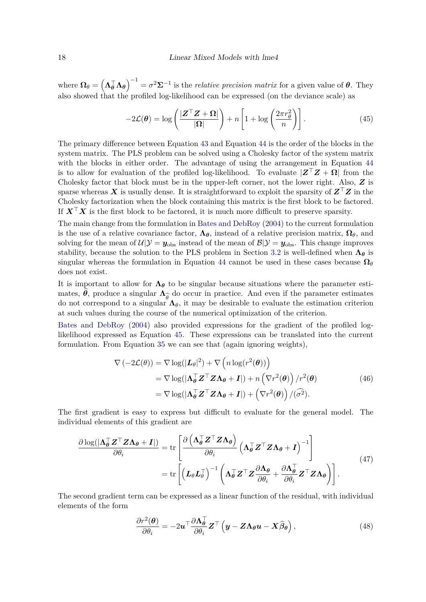where  $\Omega_{\theta} = (\Lambda_{\theta}^{\top} \Lambda_{\theta})^{-1} = \sigma^2 \Sigma^{-1}$  is the *relative precision matrix* for a given value of  $\theta$ . They also showed that the profiled log-likelihood can be expressed (on the deviance scale) as

<span id="page-17-0"></span>
$$
-2\mathcal{L}(\boldsymbol{\theta}) = \log\left(\frac{|\boldsymbol{Z}^{\top}\boldsymbol{Z} + \boldsymbol{\Omega}|}{|\boldsymbol{\Omega}|}\right) + n\left[1 + \log\left(\frac{2\pi r_{\theta}^{2}}{n}\right)\right].
$$
 (45)

The primary difference between Equation [43](#page-16-2) and Equation [44](#page-16-3) is the order of the blocks in the system matrix. The PLS problem can be solved using a Cholesky factor of the system matrix with the blocks in either order. The advantage of using the arrangement in Equation [44](#page-16-3) is to allow for evaluation of the profiled log-likelihood. To evaluate  $|Z^{\top}Z + \Omega|$  from the Cholesky factor that block must be in the upper-left corner, not the lower right. Also, *Z* is sparse whereas *X* is usually dense. It is straightforward to exploit the sparsity of *Z*⊤*Z* in the Cholesky factorization when the block containing this matrix is the first block to be factored. If *X*⊤*X* is the first block to be factored, it is much more difficult to preserve sparsity.

The main change from the formulation in [Bates and DebRoy](#page-39-5) [\(2004\)](#page-39-5) to the current formulation is the use of a relative covariance factor,  $\Lambda_{\theta}$ , instead of a relative precision matrix,  $\Omega_{\theta}$ , and solving for the mean of  $\mathcal{U}|\mathcal{Y} = y_{obs}$  instead of the mean of  $\mathcal{B}|\mathcal{Y} = y_{obs}$ . This change improves stability, because the solution to the PLS problem in Section [3.2](#page-12-0) is well-defined when **Λ***<sup>θ</sup>* is singular whereas the formulation in Equation [44](#page-16-3) cannot be used in these cases because  $\Omega_{\theta}$ does not exist.

It is important to allow for  $\Lambda_{\theta}$  to be singular because situations where the parameter estimates,  $\hat{\theta}$ , produce a singular  $\Lambda_{\hat{\theta}}$  do occur in practice. And even if the parameter estimates do not correspond to a singular  $\Lambda_{\hat{\theta}}$  it may be desirable to evaluate the estimation criterion do not correspond to a singular  $\Lambda_{\theta}$ , it may be desirable to evaluate the estimation criterion at such values during the course of the numerical optimization of the criterion.

[Bates and DebRoy](#page-39-5) [\(2004\)](#page-39-5) also provided expressions for the gradient of the profiled loglikelihood expressed as Equation [45.](#page-17-0) These expressions can be translated into the current formulation. From Equation [35](#page-15-1) we can see that (again ignoring weights),

<span id="page-17-1"></span>
$$
\nabla(-2\mathcal{L}(\theta)) = \nabla \log(|\mathbf{L}_{\theta}|^2) + \nabla \left(n \log(r^2(\theta))\right)
$$
  
=  $\nabla \log(|\mathbf{\Lambda}_{\theta}^{\top} \mathbf{Z}^{\top} \mathbf{Z} \mathbf{\Lambda}_{\theta} + \mathbf{I}|) + n \left(\nabla r^2(\theta)\right) / r^2(\theta)$   
=  $\nabla \log(|\mathbf{\Lambda}_{\theta}^{\top} \mathbf{Z}^{\top} \mathbf{Z} \mathbf{\Lambda}_{\theta} + \mathbf{I}|) + \left(\nabla r^2(\theta)\right) / (\widehat{\sigma}^2).$  (46)

The first gradient is easy to express but difficult to evaluate for the general model. The individual elements of this gradient are

$$
\frac{\partial \log(\vert \Lambda_{\theta}^{\top} \mathbf{Z}^{\top} \mathbf{Z} \Lambda_{\theta} + \mathbf{I} \vert)}{\partial \theta_{i}} = \text{tr}\left[\frac{\partial \left(\Lambda_{\theta}^{\top} \mathbf{Z}^{\top} \mathbf{Z} \Lambda_{\theta}\right)}{\partial \theta_{i}} \left(\Lambda_{\theta}^{\top} \mathbf{Z}^{\top} \mathbf{Z} \Lambda_{\theta} + \mathbf{I}\right)^{-1}\right]
$$
\n
$$
= \text{tr}\left[\left(\mathbf{L}_{\theta} \mathbf{L}_{\theta}^{\top}\right)^{-1} \left(\Lambda_{\theta}^{\top} \mathbf{Z}^{\top} \mathbf{Z} \frac{\partial \Lambda_{\theta}}{\partial \theta_{i}} + \frac{\partial \Lambda_{\theta}^{\top}}{\partial \theta_{i}} \mathbf{Z}^{\top} \mathbf{Z} \Lambda_{\theta}\right)\right].
$$
\n(47)

The second gradient term can be expressed as a linear function of the residual, with individual elements of the form

<span id="page-17-2"></span>
$$
\frac{\partial r^2(\boldsymbol{\theta})}{\partial \theta_i} = -2\boldsymbol{u}^\top \frac{\partial \boldsymbol{\Lambda}_{\boldsymbol{\theta}}^\top}{\partial \theta_i} \boldsymbol{Z}^\top \left( \boldsymbol{y} - \boldsymbol{Z} \boldsymbol{\Lambda}_{\boldsymbol{\theta}} \boldsymbol{u} - \boldsymbol{X} \widehat{\boldsymbol{\beta}}_{\boldsymbol{\theta}} \right), \tag{48}
$$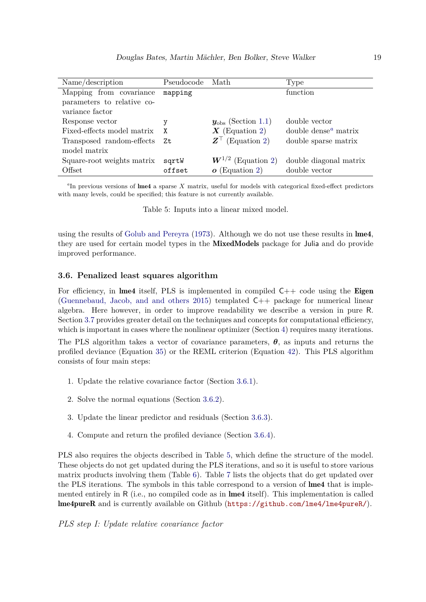| Name/description           | Pseudocode | Math                             | Type                    |
|----------------------------|------------|----------------------------------|-------------------------|
| Mapping from covariance    | mapping    |                                  | function                |
| parameters to relative co- |            |                                  |                         |
| variance factor            |            |                                  |                         |
| Response vector            |            | $y_{\text{obs}}$ (Section 1.1)   | double vector           |
| Fixed-effects model matrix | X          | $\boldsymbol{X}$ (Equation 2)    | double dense $a$ matrix |
| Transposed random-effects  | Zt         | $\mathbf{Z}^{\top}$ (Equation 2) | double sparse matrix    |
| model matrix               |            |                                  |                         |
| Square-root weights matrix | sgrtW      | $W^{1/2}$ (Equation 2)           | double diagonal matrix  |
| Offset                     | offset     | $o$ (Equation 2)                 | double vector           |

<span id="page-18-2"></span>*a* In previous versions of lme4 a sparse *X* matrix, useful for models with categorical fixed-effect predictors with many levels, could be specified; this feature is not currently available.

<span id="page-18-3"></span>Table 5: Inputs into a linear mixed model.

using the results of [Golub and Pereyra](#page-40-5) [\(1973\)](#page-40-5). Although we do not use these results in lme4, they are used for certain model types in the MixedModels package for Julia and do provide improved performance.

## <span id="page-18-0"></span>**3.6. Penalized least squares algorithm**

For efficiency, in lme4 itself, PLS is implemented in compiled  $C++$  code using the Eigen (Guennebaud, Jacob, and and others  $2015$ ) templated  $C_{++}$  package for numerical linear algebra. Here however, in order to improve readability we describe a version in pure R. Section [3.7](#page-22-0) provides greater detail on the techniques and concepts for computational efficiency, which is important in cases where the nonlinear optimizer (Section [4\)](#page-23-0) requires many iterations. The PLS algorithm takes a vector of covariance parameters, *θ*, as inputs and returns the profiled deviance (Equation [35\)](#page-15-1) or the REML criterion (Equation [42\)](#page-16-4). This PLS algorithm consists of four main steps:

- 1. Update the relative covariance factor (Section [3.6.1\)](#page-18-1).
- 2. Solve the normal equations (Section [3.6.2\)](#page-21-0).
- 3. Update the linear predictor and residuals (Section [3.6.3\)](#page-21-1).
- 4. Compute and return the profiled deviance (Section [3.6.4\)](#page-22-1).

PLS also requires the objects described in Table [5,](#page-18-3) which define the structure of the model. These objects do not get updated during the PLS iterations, and so it is useful to store various matrix products involving them (Table [6\)](#page-19-0). Table [7](#page-20-0) lists the objects that do get updated over the PLS iterations. The symbols in this table correspond to a version of lme4 that is implemented entirely in R (i.e., no compiled code as in **lme4** itself). This implementation is called lme4pureR and is currently available on Github (<https://github.com/lme4/lme4pureR/>).

<span id="page-18-1"></span>*PLS step I: Update relative covariance factor*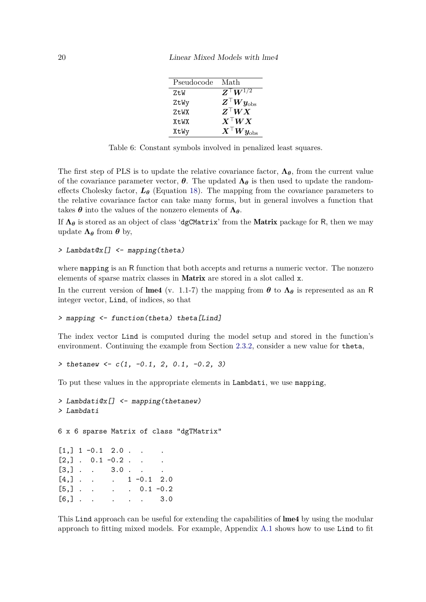| Pseudocode | Math                                                             |
|------------|------------------------------------------------------------------|
| ZtW        | $\overline{Z^{\top}W^{1/2}}$                                     |
| ZtWy       | $\boldsymbol{Z}^\top \boldsymbol{W} \boldsymbol{y}_{\text{obs}}$ |
| ZtWX       | $\boldsymbol{Z}^\top \boldsymbol{W} \boldsymbol{X}$              |
| XtWX       | $X^{\top}WX$                                                     |
| XtWy       | $\boldsymbol{X}^\top \boldsymbol{W} \boldsymbol{y}_{\text{obs}}$ |

<span id="page-19-0"></span>Table 6: Constant symbols involved in penalized least squares.

The first step of PLS is to update the relative covariance factor,  $\Lambda_{\theta}$ , from the current value of the covariance parameter vector,  $\theta$ . The updated  $\Lambda_{\theta}$  is then used to update the randomeffects Cholesky factor,  $L_{\theta}$  (Equation [18\)](#page-13-0). The mapping from the covariance parameters to the relative covariance factor can take many forms, but in general involves a function that takes  $\theta$  into the values of the nonzero elements of  $\Lambda_{\theta}$ .

If  $\Lambda_{\theta}$  is stored as an object of class 'dgCMatrix' from the **Matrix** package for R, then we may update  $\Lambda_{\theta}$  from  $\theta$  by,

```
> Lambdat@x[] <- mapping(theta)
```
where mapping is an R function that both accepts and returns a numeric vector. The nonzero elements of sparse matrix classes in Matrix are stored in a slot called x.

In the current version of lme4 (v. 1.1-7) the mapping from  $\theta$  to  $\Lambda_{\theta}$  is represented as an R integer vector, Lind, of indices, so that

```
> mapping <- function(theta) theta[Lind]
```
The index vector Lind is computed during the model setup and stored in the function's environment. Continuing the example from Section [2.3.2,](#page-10-0) consider a new value for theta,

*> thetanew <- c(1, -0.1, 2, 0.1, -0.2, 3)*

To put these values in the appropriate elements in Lambdati, we use mapping,

```
> Lambdati@x[] <- mapping(thetanew)
> Lambdati
6 x 6 sparse Matrix of class "dgTMatrix"
[1,] 1 -0.1 2.0.
[2,] . 0.1 -0.2 . . .
[3,] . . 3.0 . . .
[4,] . . . 1 -0.1 2.0
[5,] . . . . 0.1 -0.2
[6,] . . . . . 3.0
```
This Lind approach can be useful for extending the capabilities of lme4 by using the modular approach to fitting mixed models. For example, Appendix [A.1](#page-43-1) shows how to use Lind to fit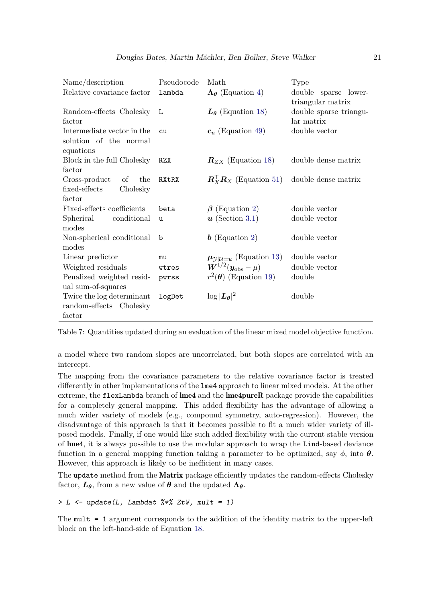| Name/description           | Pseudocode | Math                                                    | Type                   |
|----------------------------|------------|---------------------------------------------------------|------------------------|
| Relative covariance factor | lambda     | $\Lambda_{\theta}$ (Equation 4)                         | double sparse lower-   |
|                            |            |                                                         | triangular matrix      |
| Random-effects Cholesky    | L          | $L_{\theta}$ (Equation 18)                              | double sparse triangu- |
| factor                     |            |                                                         | lar matrix             |
| Intermediate vector in the | cu         | $c_u$ (Equation 49)                                     | double vector          |
| solution of the normal     |            |                                                         |                        |
| equations                  |            |                                                         |                        |
| Block in the full Cholesky | RZX        | $\mathbf{R}_{ZX}$ (Equation 18)                         | double dense matrix    |
| factor                     |            |                                                         |                        |
| Cross-product<br>of<br>the | RXtRX      | $\mathbf{R}_{X}^{\top} \mathbf{R}_{X}$ (Equation 51)    | double dense matrix    |
| fixed-effects<br>Cholesky  |            |                                                         |                        |
| factor                     |            |                                                         |                        |
| Fixed-effects coefficients | beta       | (Equation 2)<br>$\beta$                                 | double vector          |
| Spherical<br>conditional   | u          | $\boldsymbol{u}$ (Section 3.1)                          | double vector          |
| modes                      |            |                                                         |                        |
| Non-spherical conditional  | b          | $\bm{b}$ (Equation 2)                                   | double vector          |
| modes                      |            |                                                         |                        |
| Linear predictor           | mu         | $\mu_{\mathcal{Y} \mathcal{U}=u}$ (Equation 13)         | double vector          |
| Weighted residuals         | wtres      | $\boldsymbol{W}^{1/2}(\boldsymbol{y}_{\text{obs}}-\mu)$ | double vector          |
| Penalized weighted resid-  | pwrss      | $r^2(\theta)$ (Equation 19)                             | double                 |
| ual sum-of-squares         |            |                                                         |                        |
| Twice the log determinant  | logDet     | $\log  L_{\theta} ^2$                                   | double                 |
| random-effects Cholesky    |            |                                                         |                        |
| factor                     |            |                                                         |                        |

<span id="page-20-0"></span>Table 7: Quantities updated during an evaluation of the linear mixed model objective function.

a model where two random slopes are uncorrelated, but both slopes are correlated with an intercept.

The mapping from the covariance parameters to the relative covariance factor is treated differently in other implementations of the lme4 approach to linear mixed models. At the other extreme, the flexLambda branch of lme4 and the lme4pureR package provide the capabilities for a completely general mapping. This added flexibility has the advantage of allowing a much wider variety of models (e.g., compound symmetry, auto-regression). However, the disadvantage of this approach is that it becomes possible to fit a much wider variety of illposed models. Finally, if one would like such added flexibility with the current stable version of lme4, it is always possible to use the modular approach to wrap the Lind-based deviance function in a general mapping function taking a parameter to be optimized, say  $\phi$ , into  $\theta$ . However, this approach is likely to be inefficient in many cases.

The update method from the **Matrix** package efficiently updates the random-effects Cholesky factor,  $L_{\theta}$ , from a new value of  $\theta$  and the updated  $\Lambda_{\theta}$ .

*> L <- update(L, Lambdat %\*% ZtW, mult = 1)*

The mult = 1 argument corresponds to the addition of the identity matrix to the upper-left block on the left-hand-side of Equation [18.](#page-13-0)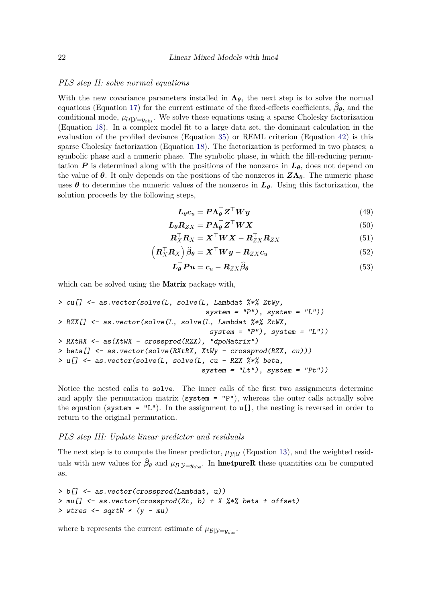#### <span id="page-21-0"></span>*PLS step II: solve normal equations*

With the new covariance parameters installed in  $\Lambda_{\theta}$ , the next step is to solve the normal equations (Equation [17\)](#page-13-1) for the current estimate of the fixed-effects coefficients,  $\beta_{\theta}$ , and the conditional mode,  $\mu_{U|\mathcal{Y}=\mathbf{y}_{\text{obs}}}$ . We solve these equations using a sparse Cholesky factorization (Equation [18\)](#page-13-0). In a complex model fit to a large data set, the dominant calculation in the evaluation of the profiled deviance (Equation [35\)](#page-15-1) or REML criterion (Equation [42\)](#page-16-4) is this sparse Cholesky factorization (Equation [18\)](#page-13-0). The factorization is performed in two phases; a symbolic phase and a numeric phase. The symbolic phase, in which the fill-reducing permutation *P* is determined along with the positions of the nonzeros in  $L_{\theta}$ , does not depend on the value of  $\theta$ . It only depends on the positions of the nonzeros in  $Z\Lambda_{\theta}$ . The numeric phase uses  $\theta$  to determine the numeric values of the nonzeros in  $L_{\theta}$ . Using this factorization, the solution proceeds by the following steps,

<span id="page-21-3"></span><span id="page-21-2"></span>
$$
L_{\theta}c_{u} = P\Lambda_{\theta}^{\top}Z^{\top}Wy \qquad (49)
$$

$$
L_{\theta}R_{ZX} = P\Lambda_{\theta}^{\top}Z^{\top}WX \tag{50}
$$

$$
\boldsymbol{R}_{X}^{\top} \boldsymbol{R}_{X} = \boldsymbol{X}^{\top} \boldsymbol{W} \boldsymbol{X} - \boldsymbol{R}_{ZX}^{\top} \boldsymbol{R}_{ZX}
$$
 (51)

$$
\left(\boldsymbol{R}_{X}^{\top} \boldsymbol{R}_{X}\right) \widehat{\boldsymbol{\beta}}_{\theta} = \boldsymbol{X}^{\top} \boldsymbol{W} \boldsymbol{y} - \boldsymbol{R}_{ZX} \boldsymbol{c}_{u}
$$
\n<sup>(52)</sup>

$$
\boldsymbol{L}_{\boldsymbol{\theta}}^{\top} \boldsymbol{P} \boldsymbol{u} = \boldsymbol{c}_u - \boldsymbol{R}_{ZX} \widehat{\boldsymbol{\beta}}_{\boldsymbol{\theta}} \tag{53}
$$

which can be solved using the **Matrix** package with,

```
> cu[] <- as.vector(solve(L, solve(L, Lambdat %*% ZtWy,
                                    system = "P"), system = "L"))
> RZX[] <- as.vector(solve(L, solve(L, Lambdat %*% ZtWX,
                                     system = "P"), system = "L"))
> RXtRX <- as(XtWX - crossprod(RZX), "dpoMatrix")
> beta[] <- as.vector(solve(RXtRX, XtWy - crossprod(RZX, cu)))
> u[] <- as.vector(solve(L, solve(L, cu - RZX %*% beta,
                                   system = "Lt"), system = "Pt"))
```
Notice the nested calls to solve. The inner calls of the first two assignments determine and apply the permutation matrix ( $s$ ystem = "P"), whereas the outer calls actually solve the equation (system =  $"L"$ ). In the assignment to  $u$ [], the nesting is reversed in order to return to the original permutation.

#### <span id="page-21-1"></span>*PLS step III: Update linear predictor and residuals*

The next step is to compute the linear predictor,  $\mu_{\mathcal{Y}|\mathcal{U}}$  (Equation [13\)](#page-12-6), and the weighted residuals with new values for  $\beta_{\theta}$  and  $\mu_{\mathcal{B}|\mathcal{Y}=\mathbf{y}_{\text{obs}}}$ . In **lme4pureR** these quantities can be computed as,

```
> b[] <- as.vector(crossprod(Lambdat, u))
> mu[] <- as.vector(crossprod(Zt, b) + X %*% beta + offset)
> wtres <- sqrtW * (y - mu)
```
where **b** represents the current estimate of  $\mu_{\mathcal{B}}|\mathcal{V}=\mathcal{U}_{\text{obs}}$ .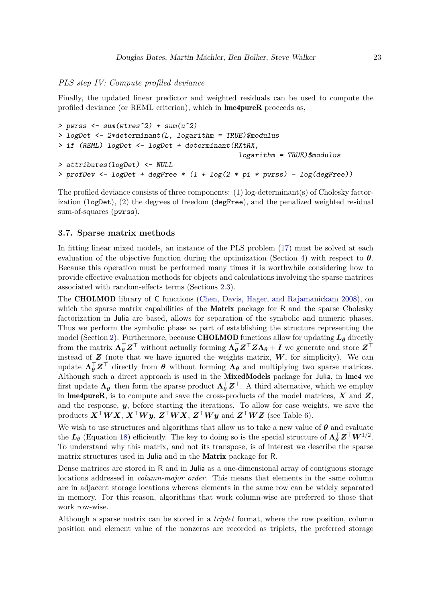## <span id="page-22-1"></span>*PLS step IV: Compute profiled deviance*

Finally, the updated linear predictor and weighted residuals can be used to compute the profiled deviance (or REML criterion), which in lme4pureR proceeds as,

```
> pwrss <- sum(wtres^2) + sum(u^2)
> logDet <- 2*determinant(L, logarithm = TRUE)$modulus
> if (REML) logDet <- logDet + determinant(RXtRX,
                                            logarithm = TRUE)$modulus
> attributes(logDet) <- NULL
> profDev <- logDet + degFree * (1 + log(2 * pi * pwrss) - log(degFree))
```
The profiled deviance consists of three components: (1) log-determinant(s) of Cholesky factorization  $(\text{logDet})$ ,  $(2)$  the degrees of freedom  $(\text{degFree})$ , and the penalized weighted residual sum-of-squares (pwrss).

### <span id="page-22-0"></span>**3.7. Sparse matrix methods**

In fitting linear mixed models, an instance of the PLS problem [\(17\)](#page-13-1) must be solved at each evaluation of the objective function during the optimization (Section [4\)](#page-23-0) with respect to  $\theta$ . Because this operation must be performed many times it is worthwhile considering how to provide effective evaluation methods for objects and calculations involving the sparse matrices associated with random-effects terms (Sections [2.3\)](#page-7-0).

The CHOLMOD library of C functions [\(Chen, Davis, Hager, and Rajamanickam 2008\)](#page-39-9), on which the sparse matrix capabilities of the **Matrix** package for R and the sparse Cholesky factorization in Julia are based, allows for separation of the symbolic and numeric phases. Thus we perform the symbolic phase as part of establishing the structure representing the model (Section [2\)](#page-4-0). Furthermore, because **CHOLMOD** functions allow for updating  $L_{\theta}$  directly from the matrix  $\Lambda_{\theta}^{\top}Z^{\top}$  without actually forming  $\Lambda_{\theta}^{\top}Z^{\top}Z\Lambda_{\theta} + I$  we generate and store  $Z^{\top}$ instead of  $Z$  (note that we have ignored the weights matrix,  $W$ , for simplicity). We can update  $\Lambda_{\theta}^{\top}Z^{\top}$  directly from  $\theta$  without forming  $\Lambda_{\theta}$  and multiplying two sparse matrices. Although such a direct approach is used in the MixedModels package for Julia, in lme4 we first update  $\Lambda_{\theta}^{\top}$  then form the sparse product  $\Lambda_{\theta}^{\top}Z^{\top}$ . A third alternative, which we employ in **lme4pureR**, is to compute and save the cross-products of the model matrices,  $\boldsymbol{X}$  and  $\boldsymbol{Z}$ , and the response, *y*, before starting the iterations. To allow for case weights, we save the products  $\boldsymbol{X}^\top \boldsymbol{W} \boldsymbol{X}, \boldsymbol{X}^\top \boldsymbol{W} \boldsymbol{y}, \boldsymbol{Z}^\top \boldsymbol{W} \boldsymbol{X}, \boldsymbol{Z}^\top \boldsymbol{W} \boldsymbol{y}$  and  $\boldsymbol{Z}^\top \boldsymbol{W} \boldsymbol{Z}$  (see Table [6\)](#page-19-0).

We wish to use structures and algorithms that allow us to take a new value of *θ* and evaluate the  $L_{\theta}$  (Equation [18\)](#page-13-0) efficiently. The key to doing so is the special structure of  $\Lambda_{\theta}^{\top} \mathbf{Z}^{\top} W^{1/2}$ . To understand why this matrix, and not its transpose, is of interest we describe the sparse matrix structures used in Julia and in the Matrix package for R.

Dense matrices are stored in R and in Julia as a one-dimensional array of contiguous storage locations addressed in *column-major order*. This means that elements in the same column are in adjacent storage locations whereas elements in the same row can be widely separated in memory. For this reason, algorithms that work column-wise are preferred to those that work row-wise.

Although a sparse matrix can be stored in a *triplet* format, where the row position, column position and element value of the nonzeros are recorded as triplets, the preferred storage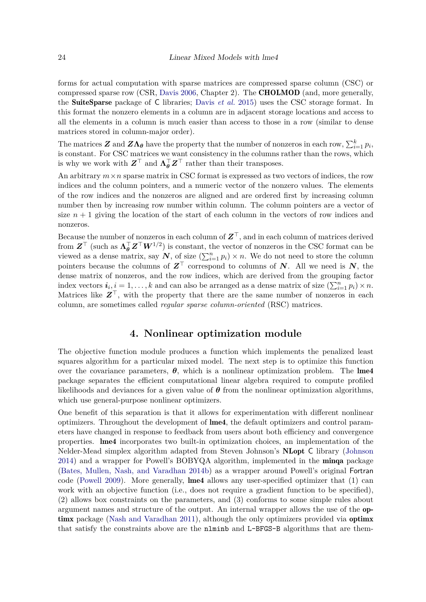forms for actual computation with sparse matrices are compressed sparse column (CSC) or compressed sparse row (CSR, [Davis 2006,](#page-40-7) Chapter 2). The CHOLMOD (and, more generally, the SuiteSparse package of C libraries; [Davis](#page-40-8) *et al.* [2015\)](#page-40-8) uses the CSC storage format. In this format the nonzero elements in a column are in adjacent storage locations and access to all the elements in a column is much easier than access to those in a row (similar to dense matrices stored in column-major order).

The matrices  $Z$  and  $Z\Lambda_{\theta}$  have the property that the number of nonzeros in each row,  $\sum_{i=1}^{k} p_i$ , is constant. For CSC matrices we want consistency in the columns rather than the rows, which is why we work with  $\mathbf{Z}^{\top}$  and  $\mathbf{\Lambda}_{\theta}^{\top} \mathbf{Z}^{\top}$  rather than their transposes.

An arbitrary  $m \times n$  sparse matrix in CSC format is expressed as two vectors of indices, the row indices and the column pointers, and a numeric vector of the nonzero values. The elements of the row indices and the nonzeros are aligned and are ordered first by increasing column number then by increasing row number within column. The column pointers are a vector of size  $n + 1$  giving the location of the start of each column in the vectors of row indices and nonzeros.

Because the number of nonzeros in each column of *Z*⊤, and in each column of matrices derived from  $\mathbf{Z}^{\top}$  (such as  $\Lambda_{\theta}^{\top} \mathbf{Z}^{\top} W^{1/2}$ ) is constant, the vector of nonzeros in the CSC format can be viewed as a dense matrix, say  $N$ , of size  $(\sum_{i=1}^{n} p_i) \times n$ . We do not need to store the column pointers because the columns of  $Z^{\top}$  correspond to columns of *N*. All we need is *N*, the dense matrix of nonzeros, and the row indices, which are derived from the grouping factor index vectors  $\mathbf{i}_i, \mathbf{i} = 1, \ldots, k$  and can also be arranged as a dense matrix of size  $(\sum_{i=1}^n p_i) \times n$ . Matrices like  $Z^{\top}$ , with the property that there are the same number of nonzeros in each column, are sometimes called *regular sparse column-oriented* (RSC) matrices.

## **4. Nonlinear optimization module**

<span id="page-23-0"></span>The objective function module produces a function which implements the penalized least squares algorithm for a particular mixed model. The next step is to optimize this function over the covariance parameters,  $\theta$ , which is a nonlinear optimization problem. The lme4 package separates the efficient computational linear algebra required to compute profiled likelihoods and deviances for a given value of  $\theta$  from the nonlinear optimization algorithms, which use general-purpose nonlinear optimizers.

One benefit of this separation is that it allows for experimentation with different nonlinear optimizers. Throughout the development of lme4, the default optimizers and control parameters have changed in response to feedback from users about both efficiency and convergence properties. lme4 incorporates two built-in optimization choices, an implementation of the Nelder-Mead simplex algorithm adapted from Steven Johnson's NLopt C library [\(Johnson](#page-40-9) [2014\)](#page-40-9) and a wrapper for Powell's BOBYQA algorithm, implemented in the minqa package [\(Bates, Mullen, Nash, and Varadhan 2014b\)](#page-39-10) as a wrapper around Powell's original Fortran code [\(Powell 2009\)](#page-41-4). More generally, lme4 allows any user-specified optimizer that (1) can work with an objective function (i.e., does not require a gradient function to be specified), (2) allows box constraints on the parameters, and (3) conforms to some simple rules about argument names and structure of the output. An internal wrapper allows the use of the op-timx package [\(Nash and Varadhan 2011\)](#page-41-5), although the only optimizers provided via optimx that satisfy the constraints above are the nlminb and L-BFGS-B algorithms that are them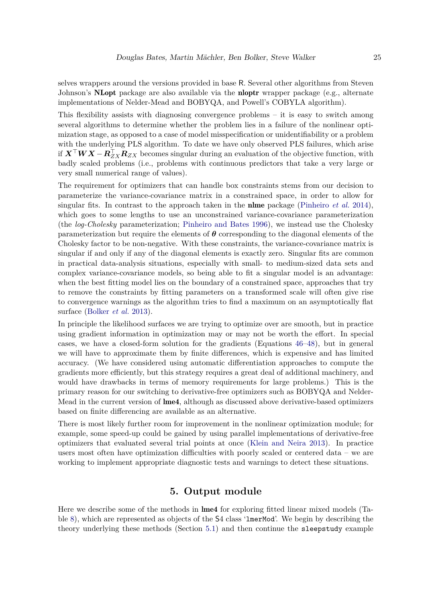selves wrappers around the versions provided in base R. Several other algorithms from Steven Johnson's **NLopt** package are also available via the **nloptr** wrapper package (e.g., alternate implementations of Nelder-Mead and BOBYQA, and Powell's COBYLA algorithm).

This flexibility assists with diagnosing convergence problems  $-$  it is easy to switch among several algorithms to determine whether the problem lies in a failure of the nonlinear optimization stage, as opposed to a case of model misspecification or unidentifiability or a problem with the underlying PLS algorithm. To date we have only observed PLS failures, which arise if  $\bm{X}^\top \bm{W} \bm{X} - \bm{R}_{ZX}^\top \bm{R}_{ZX}$  becomes singular during an evaluation of the objective function, with badly scaled problems (i.e., problems with continuous predictors that take a very large or very small numerical range of values).

The requirement for optimizers that can handle box constraints stems from our decision to parameterize the variance-covariance matrix in a constrained space, in order to allow for singular fits. In contrast to the approach taken in the nlme package [\(Pinheiro](#page-41-1) *et al.* [2014\)](#page-41-1), which goes to some lengths to use an unconstrained variance-covariance parameterization (the *log-Cholesky* parameterization; [Pinheiro and Bates 1996\)](#page-41-6), we instead use the Cholesky parameterization but require the elements of  $\theta$  corresponding to the diagonal elements of the Cholesky factor to be non-negative. With these constraints, the variance-covariance matrix is singular if and only if any of the diagonal elements is exactly zero. Singular fits are common in practical data-analysis situations, especially with small- to medium-sized data sets and complex variance-covariance models, so being able to fit a singular model is an advantage: when the best fitting model lies on the boundary of a constrained space, approaches that try to remove the constraints by fitting parameters on a transformed scale will often give rise to convergence warnings as the algorithm tries to find a maximum on an asymptotically flat surface [\(Bolker](#page-39-11) *et al.* [2013\)](#page-39-11).

In principle the likelihood surfaces we are trying to optimize over are smooth, but in practice using gradient information in optimization may or may not be worth the effort. In special cases, we have a closed-form solution for the gradients (Equations [46–](#page-17-1)[48\)](#page-17-2), but in general we will have to approximate them by finite differences, which is expensive and has limited accuracy. (We have considered using automatic differentiation approaches to compute the gradients more efficiently, but this strategy requires a great deal of additional machinery, and would have drawbacks in terms of memory requirements for large problems.) This is the primary reason for our switching to derivative-free optimizers such as BOBYQA and Nelder-Mead in the current version of **lme4**, although as discussed above derivative-based optimizers based on finite differencing are available as an alternative.

There is most likely further room for improvement in the nonlinear optimization module; for example, some speed-up could be gained by using parallel implementations of derivative-free optimizers that evaluated several trial points at once [\(Klein and Neira 2013\)](#page-41-7). In practice users most often have optimization difficulties with poorly scaled or centered data – we are working to implement appropriate diagnostic tests and warnings to detect these situations.

## **5. Output module**

<span id="page-24-0"></span>Here we describe some of the methods in lme4 for exploring fitted linear mixed models (Table [8\)](#page-29-0), which are represented as objects of the S4 class 'lmerMod'. We begin by describing the theory underlying these methods (Section [5.1\)](#page-25-0) and then continue the sleepstudy example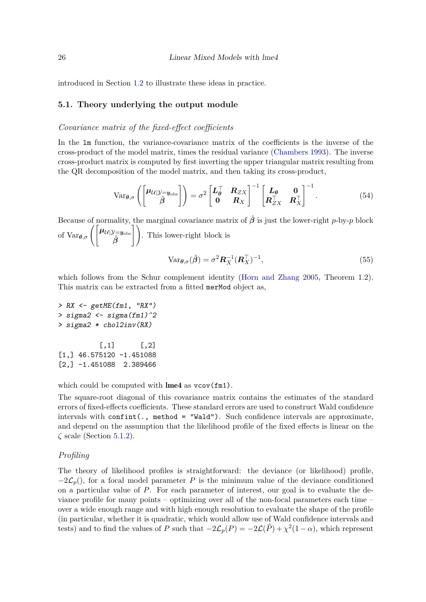introduced in Section [1.2](#page-2-0) to illustrate these ideas in practice.

## <span id="page-25-0"></span>**5.1. Theory underlying the output module**

#### <span id="page-25-2"></span>*Covariance matrix of the fixed-effect coefficients*

In the lm function, the variance-covariance matrix of the coefficients is the inverse of the cross-product of the model matrix, times the residual variance [\(Chambers 1993\)](#page-39-7). The inverse cross-product matrix is computed by first inverting the upper triangular matrix resulting from the QR decomposition of the model matrix, and then taking its cross-product,

$$
\text{Var}_{\theta,\sigma}\left(\begin{bmatrix} \boldsymbol{\mu}_{\mathcal{U}} | \mathcal{Y} = \boldsymbol{y}_{\text{obs}} \\ \hat{\boldsymbol{\beta}} \end{bmatrix}\right) = \sigma^2 \begin{bmatrix} \boldsymbol{L}_{\theta}^{\top} & \boldsymbol{R}_{ZX} \\ \mathbf{0} & \boldsymbol{R}_{X} \end{bmatrix}^{-1} \begin{bmatrix} \boldsymbol{L}_{\theta} & \mathbf{0} \\ \boldsymbol{R}_{ZX}^{\top} & \boldsymbol{R}_{X}^{\top} \end{bmatrix}^{-1}.
$$
\n
$$
(54)
$$

Because of normality, the marginal covariance matrix of  $\hat{\beta}$  is just the lower-right *p*-by-*p* block of Var $_{\theta,\sigma}\left(\begin{bmatrix} \mu_{\mathcal{U}|\mathcal{Y}=y_{\mathrm{obs}}} & \hat{\beta} \end{bmatrix}\right)$  $\bar{1}$ . This lower-right block is

$$
\text{Var}_{\boldsymbol{\theta}, \sigma}(\hat{\boldsymbol{\beta}}) = \sigma^2 \boldsymbol{R}_X^{-1} (\boldsymbol{R}_X^\top)^{-1},\tag{55}
$$

which follows from the Schur complement identity [\(Horn and Zhang 2005,](#page-40-10) Theorem 1.2). This matrix can be extracted from a fitted merMod object as,

```
> RX <- getME(fm1, "RX")
> sigma2 <- sigma(fm1)^2
> sigma2 * chol2inv(RX)
         [,1] [,2][1,] 46.575120 -1.451088
```
[2,] -1.451088 2.389466

which could be computed with  $\text{Im}e4$  as  $\text{vcov}(\text{fm1})$ .

The square-root diagonal of this covariance matrix contains the estimates of the standard errors of fixed-effects coefficients. These standard errors are used to construct Wald confidence intervals with confint(., method = "Wald"). Such confidence intervals are approximate, and depend on the assumption that the likelihood profile of the fixed effects is linear on the *ζ* scale (Section [5.1.2\)](#page-25-1).

## <span id="page-25-1"></span>*Profiling*

The theory of likelihood profiles is straightforward: the deviance (or likelihood) profile,  $-2\mathcal{L}_p$ (), for a focal model parameter *P* is the minimum value of the deviance conditioned on a particular value of *P*. For each parameter of interest, our goal is to evaluate the deviance profile for many points – optimizing over all of the non-focal parameters each time – over a wide enough range and with high enough resolution to evaluate the shape of the profile (in particular, whether it is quadratic, which would allow use of Wald confidence intervals and tests) and to find the values of *P* such that  $-2\mathcal{L}_p(P) = -2\mathcal{L}(\widehat{P}) + \chi^2(1-\alpha)$ , which represent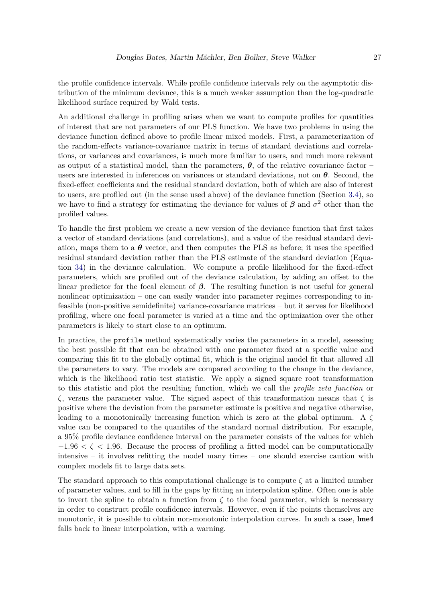the profile confidence intervals. While profile confidence intervals rely on the asymptotic distribution of the minimum deviance, this is a much weaker assumption than the log-quadratic likelihood surface required by Wald tests.

An additional challenge in profiling arises when we want to compute profiles for quantities of interest that are not parameters of our PLS function. We have two problems in using the deviance function defined above to profile linear mixed models. First, a parameterization of the random-effects variance-covariance matrix in terms of standard deviations and correlations, or variances and covariances, is much more familiar to users, and much more relevant as output of a statistical model, than the parameters,  $\theta$ , of the relative covariance factor – users are interested in inferences on variances or standard deviations, not on *θ*. Second, the fixed-effect coefficients and the residual standard deviation, both of which are also of interest to users, are profiled out (in the sense used above) of the deviance function (Section [3.4\)](#page-15-0), so we have to find a strategy for estimating the deviance for values of  $\beta$  and  $\sigma^2$  other than the profiled values.

To handle the first problem we create a new version of the deviance function that first takes a vector of standard deviations (and correlations), and a value of the residual standard deviation, maps them to a  $\theta$  vector, and then computes the PLS as before; it uses the specified residual standard deviation rather than the PLS estimate of the standard deviation (Equation [34\)](#page-15-2) in the deviance calculation. We compute a profile likelihood for the fixed-effect parameters, which are profiled out of the deviance calculation, by adding an offset to the linear predictor for the focal element of *β*. The resulting function is not useful for general nonlinear optimization – one can easily wander into parameter regimes corresponding to infeasible (non-positive semidefinite) variance-covariance matrices – but it serves for likelihood profiling, where one focal parameter is varied at a time and the optimization over the other parameters is likely to start close to an optimum.

In practice, the profile method systematically varies the parameters in a model, assessing the best possible fit that can be obtained with one parameter fixed at a specific value and comparing this fit to the globally optimal fit, which is the original model fit that allowed all the parameters to vary. The models are compared according to the change in the deviance, which is the likelihood ratio test statistic. We apply a signed square root transformation to this statistic and plot the resulting function, which we call the *profile zeta function* or *ζ*, versus the parameter value. The signed aspect of this transformation means that *ζ* is positive where the deviation from the parameter estimate is positive and negative otherwise, leading to a monotonically increasing function which is zero at the global optimum. A *ζ* value can be compared to the quantiles of the standard normal distribution. For example, a 95% profile deviance confidence interval on the parameter consists of the values for which −1*.*96 *< ζ <* 1*.*96. Because the process of profiling a fitted model can be computationally intensive – it involves refitting the model many times – one should exercise caution with complex models fit to large data sets.

The standard approach to this computational challenge is to compute  $\zeta$  at a limited number of parameter values, and to fill in the gaps by fitting an interpolation spline. Often one is able to invert the spline to obtain a function from  $\zeta$  to the focal parameter, which is necessary in order to construct profile confidence intervals. However, even if the points themselves are monotonic, it is possible to obtain non-monotonic interpolation curves. In such a case,  $\text{Im}44$ falls back to linear interpolation, with a warning.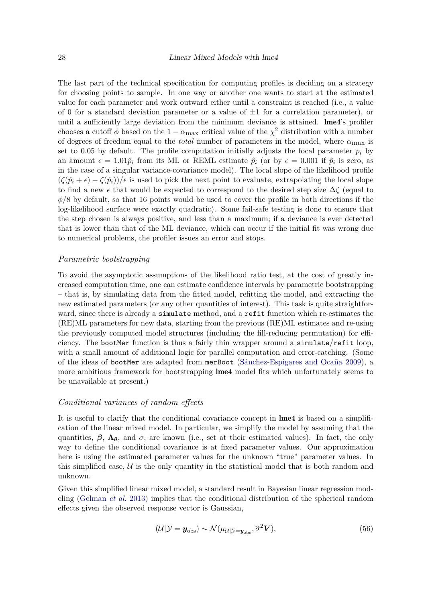The last part of the technical specification for computing profiles is deciding on a strategy for choosing points to sample. In one way or another one wants to start at the estimated value for each parameter and work outward either until a constraint is reached (i.e., a value of 0 for a standard deviation parameter or a value of  $\pm 1$  for a correlation parameter), or until a sufficiently large deviation from the minimum deviance is attained. lme4's profiler chooses a cutoff  $\phi$  based on the 1 –  $\alpha_{\text{max}}$  critical value of the  $\chi^2$  distribution with a number of degrees of freedom equal to the *total* number of parameters in the model, where *α*max is set to 0.05 by default. The profile computation initially adjusts the focal parameter  $p_i$  by an amount  $\epsilon = 1.01\hat{p}_i$  from its ML or REML estimate  $\hat{p}_i$  (or by  $\epsilon = 0.001$  if  $\hat{p}_i$  is zero, as in the case of a singular variance-covariance model). The local slope of the likelihood profile  $(\zeta(\hat{p}_i + \epsilon) - \zeta(\hat{p}_i))/\epsilon$  is used to pick the next point to evaluate, extrapolating the local slope to find a new  $\epsilon$  that would be expected to correspond to the desired step size  $\Delta \zeta$  (equal to *φ/*8 by default, so that 16 points would be used to cover the profile in both directions if the log-likelihood surface were exactly quadratic). Some fail-safe testing is done to ensure that the step chosen is always positive, and less than a maximum; if a deviance is ever detected that is lower than that of the ML deviance, which can occur if the initial fit was wrong due to numerical problems, the profiler issues an error and stops.

#### <span id="page-27-0"></span>*Parametric bootstrapping*

To avoid the asymptotic assumptions of the likelihood ratio test, at the cost of greatly increased computation time, one can estimate confidence intervals by parametric bootstrapping – that is, by simulating data from the fitted model, refitting the model, and extracting the new estimated parameters (or any other quantities of interest). This task is quite straightforward, since there is already a simulate method, and a refit function which re-estimates the (RE)ML parameters for new data, starting from the previous (RE)ML estimates and re-using the previously computed model structures (including the fill-reducing permutation) for efficiency. The bootMer function is thus a fairly thin wrapper around a simulate/refit loop, with a small amount of additional logic for parallel computation and error-catching. (Some of the ideas of bootMer are adapted from merBoot [\(Sánchez-Espigares and Ocaña 2009\)](#page-41-8), a more ambitious framework for bootstrapping **lme4** model fits which unfortunately seems to be unavailable at present.)

#### <span id="page-27-1"></span>*Conditional variances of random effects*

It is useful to clarify that the conditional covariance concept in lme4 is based on a simplification of the linear mixed model. In particular, we simplify the model by assuming that the quantities,  $\beta$ ,  $\Lambda$ *θ*, and  $\sigma$ , are known (i.e., set at their estimated values). In fact, the only way to define the conditional covariance is at fixed parameter values. Our approximation here is using the estimated parameter values for the unknown "true" parameter values. In this simplified case,  $U$  is the only quantity in the statistical model that is both random and unknown.

Given this simplified linear mixed model, a standard result in Bayesian linear regression modeling [\(Gelman](#page-40-11) *et al.* [2013\)](#page-40-11) implies that the conditional distribution of the spherical random effects given the observed response vector is Gaussian,

$$
(\mathcal{U}|\mathcal{Y} = \mathbf{y}_{\text{obs}}) \sim \mathcal{N}(\mu_{\mathcal{U}|\mathcal{Y} = \mathbf{y}_{\text{obs}}}, \hat{\sigma}^2 \mathbf{V}),\tag{56}
$$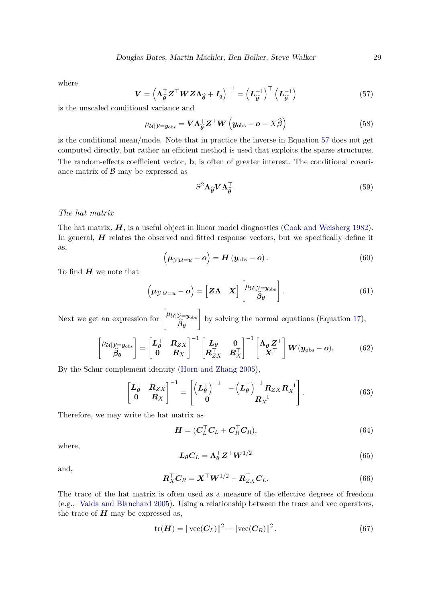<span id="page-28-0"></span>where

$$
\mathbf{V} = \left(\mathbf{\Lambda}_{\widehat{\boldsymbol{\theta}}}^{\top} \mathbf{Z}^{\top} \mathbf{W} \mathbf{Z} \mathbf{\Lambda}_{\widehat{\boldsymbol{\theta}}} + \mathbf{I}_q\right)^{-1} = \left(\mathbf{L}_{\widehat{\boldsymbol{\theta}}}^{-1}\right)^{\top} \left(\mathbf{L}_{\widehat{\boldsymbol{\theta}}}^{-1}\right)
$$
(57)

is the unscaled conditional variance and

$$
\mu_{\mathcal{U}|\mathcal{Y}=y_{\text{obs}}} = \mathbf{V}\mathbf{\Lambda}_{\widehat{\boldsymbol{\theta}}}^{\top} \mathbf{Z}^{\top} \mathbf{W} \left( \mathbf{y}_{\text{obs}} - \mathbf{o} - X\widehat{\boldsymbol{\beta}} \right)
$$
(58)

is the conditional mean/mode. Note that in practice the inverse in Equation [57](#page-28-0) does not get computed directly, but rather an efficient method is used that exploits the sparse structures. The random-effects coefficient vector, **b**, is often of greater interest. The conditional covariance matrix of  $\beta$  may be expressed as

$$
\hat{\sigma}^2 \Lambda_{\hat{\theta}} V \Lambda_{\hat{\theta}}^{\top}.
$$
 (59)

### *The hat matrix*

The hat matrix,  $H$ , is a useful object in linear model diagnostics [\(Cook and Weisberg 1982\)](#page-40-12). In general, *H* relates the observed and fitted response vectors, but we specifically define it as,

$$
\left(\mu_{\mathcal{Y}|U=u}-o\right)=H\left(y_{\text{obs}}-o\right).
$$
\n(60)

To find *H* we note that

$$
\left(\mu_{\mathcal{Y}|U=u}-o\right) = \left[Z\Lambda \quad X\right] \begin{bmatrix} \mu_{U|\mathcal{Y}=y_{\text{obs}}}\\ \hat{\beta}_{\theta} \end{bmatrix}.
$$
\n(61)

Next we get an expression for  $\begin{bmatrix} \mu_{\mathcal{U}} | y = y_{\text{obs}} \\ 0 \end{bmatrix}$  $\beta_\theta$ 1 by solving the normal equations (Equation [17\)](#page-13-1),

$$
\begin{bmatrix} \mu_{\mathcal{U}} | \mathcal{Y} = y_{\text{obs}} \\ \hat{\beta}_{\theta} \end{bmatrix} = \begin{bmatrix} L_{\theta}^{\top} & R_{ZX} \\ 0 & R_X \end{bmatrix}^{-1} \begin{bmatrix} L_{\theta} & 0 \\ R_{ZX}^{\top} & R_X^{\top} \end{bmatrix}^{-1} \begin{bmatrix} \Lambda_{\theta}^{\top} Z^{\top} \\ X^{\top} \end{bmatrix} \mathbf{W}(\mathbf{y}_{\text{obs}} - \mathbf{o}). \tag{62}
$$

By the Schur complement identity [\(Horn and Zhang 2005\)](#page-40-10),

$$
\begin{bmatrix} \boldsymbol{L}_{\boldsymbol{\theta}}^{\top} & \boldsymbol{R}_{ZX} \\ \boldsymbol{0} & \boldsymbol{R}_{X} \end{bmatrix}^{-1} = \begin{bmatrix} \left(\boldsymbol{L}_{\boldsymbol{\theta}}^{\top}\right)^{-1} & -\left(\boldsymbol{L}_{\boldsymbol{\theta}}^{\top}\right)^{-1} \boldsymbol{R}_{ZX} \boldsymbol{R}_{X}^{-1} \\ \boldsymbol{0} & \boldsymbol{R}_{X}^{-1} \end{bmatrix} . \tag{63}
$$

Therefore, we may write the hat matrix as

$$
\boldsymbol{H} = (\boldsymbol{C}_{L}^{\top} \boldsymbol{C}_{L} + \boldsymbol{C}_{R}^{\top} \boldsymbol{C}_{R}),
$$
\n(64)

where,

$$
L_{\theta}C_L = \Lambda_{\theta}^{\top} \mathbf{Z}^{\top} \mathbf{W}^{1/2} \tag{65}
$$

and,

$$
\boldsymbol{R}_X^\top \boldsymbol{C}_R = \boldsymbol{X}^\top \boldsymbol{W}^{1/2} - \boldsymbol{R}_{ZX}^\top \boldsymbol{C}_L. \tag{66}
$$

The trace of the hat matrix is often used as a measure of the effective degrees of freedom (e.g., [Vaida and Blanchard 2005\)](#page-41-9). Using a relationship between the trace and vec operators, the trace of  $H$  may be expressed as,

$$
\text{tr}(\boldsymbol{H}) = ||\text{vec}(\boldsymbol{C}_L)||^2 + ||\text{vec}(\boldsymbol{C}_R)||^2.
$$
 (67)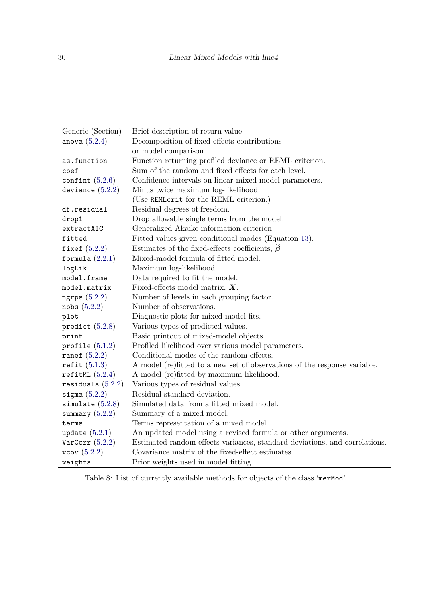| Generic (Section)   | Brief description of return value                                          |
|---------------------|----------------------------------------------------------------------------|
| anova $(5.2.4)$     | Decomposition of fixed-effects contributions                               |
|                     | or model comparison.                                                       |
| as.function         | Function returning profiled deviance or REML criterion.                    |
| coef                | Sum of the random and fixed effects for each level.                        |
| confint $(5.2.6)$   | Confidence intervals on linear mixed-model parameters.                     |
| deviance $(5.2.2)$  | Minus twice maximum log-likelihood.                                        |
|                     | (Use REMLcrit for the REML criterion.)                                     |
| df.residual         | Residual degrees of freedom.                                               |
| drop1               | Drop allowable single terms from the model.                                |
| extractAIC          | Generalized Akaike information criterion                                   |
| fitted              | Fitted values given conditional modes (Equation 13).                       |
| fixef $(5.2.2)$     | Estimates of the fixed-effects coefficients, $\hat{\beta}$                 |
| formula $(2.2.1)$   | Mixed-model formula of fitted model.                                       |
| logLik              | Maximum log-likelihood.                                                    |
| model.frame         | Data required to fit the model.                                            |
| model.matrix        | Fixed-effects model matrix, $X$ .                                          |
| ngrps $(5.2.2)$     | Number of levels in each grouping factor.                                  |
| nobs(5.2.2)         | Number of observations.                                                    |
| plot                | Diagnostic plots for mixed-model fits.                                     |
| predict $(5.2.8)$   | Various types of predicted values.                                         |
| print               | Basic printout of mixed-model objects.                                     |
| profile $(5.1.2)$   | Profiled likelihood over various model parameters.                         |
| ranef $(5.2.2)$     | Conditional modes of the random effects.                                   |
| refit $(5.1.3)$     | A model (re) fitted to a new set of observations of the response variable. |
| refitML $(5.2.4)$   | A model (re)fitted by maximum likelihood.                                  |
| residuals $(5.2.2)$ | Various types of residual values.                                          |
| sigma $(5.2.2)$     | Residual standard deviation.                                               |
| simulate $(5.2.8)$  | Simulated data from a fitted mixed model.                                  |
| summary $(5.2.2)$   | Summary of a mixed model.                                                  |
| terms               | Terms representation of a mixed model.                                     |
| update $(5.2.1)$    | An updated model using a revised formula or other arguments.               |
| VarCorr $(5.2.2)$   | Estimated random-effects variances, standard deviations, and correlations. |
| vcov(5.2.2)         | Covariance matrix of the fixed-effect estimates.                           |
| weights             | Prior weights used in model fitting.                                       |

<span id="page-29-0"></span>Table 8: List of currently available methods for objects of the class 'merMod'.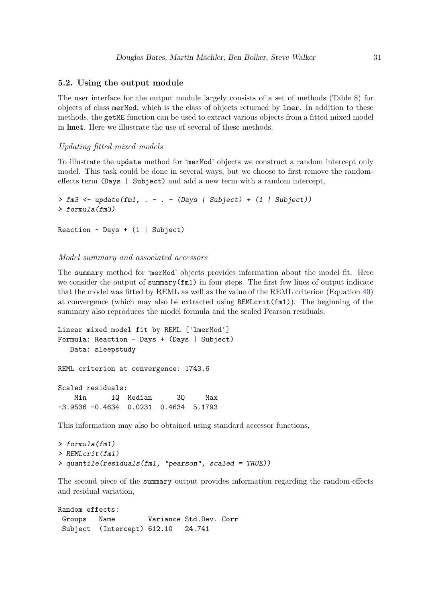## **5.2. Using the output module**

The user interface for the output module largely consists of a set of methods (Table [8\)](#page-29-0) for objects of class merMod, which is the class of objects returned by lmer. In addition to these methods, the getME function can be used to extract various objects from a fitted mixed model in lme4. Here we illustrate the use of several of these methods.

## <span id="page-30-1"></span>*Updating fitted mixed models*

To illustrate the update method for 'merMod' objects we construct a random intercept only model. This task could be done in several ways, but we choose to first remove the randomeffects term (Days | Subject) and add a new term with a random intercept,

```
> fm3 <- update(fm1, . ~ . - (Days | Subject) + (1 | Subject))
> formula(fm3)
Reaction ~ Days + (1 | Subject)
```
#### <span id="page-30-0"></span>*Model summary and associated accessors*

The summary method for 'merMod' objects provides information about the model fit. Here we consider the output of summary $(fm1)$  in four steps. The first few lines of output indicate that the model was fitted by REML as well as the value of the REML criterion (Equation [40\)](#page-16-1) at convergence (which may also be extracted using  $REMLcrit(fm1)$ ). The beginning of the summary also reproduces the model formula and the scaled Pearson residuals,

```
Linear mixed model fit by REML ['lmerMod']
Formula: Reaction ~ Days + (Days | Subject)
  Data: sleepstudy
REML criterion at convergence: 1743.6
Scaled residuals:
   Min 1Q Median 3Q Max
-3.9536 -0.4634 0.0231 0.4634 5.1793
```
This information may also be obtained using standard accessor functions,

```
> formula(fm1)
> REMLcrit(fm1)
> quantile(residuals(fm1, "pearson", scaled = TRUE))
```
The second piece of the summary output provides information regarding the random-effects and residual variation,

```
Random effects:
Groups Name Variance Std.Dev. Corr
Subject (Intercept) 612.10 24.741
```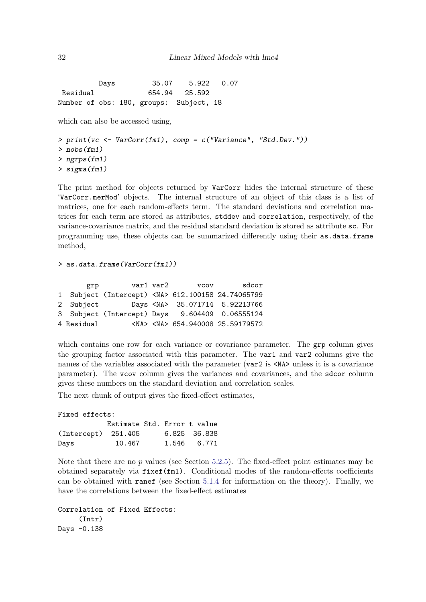Days 35.07 5.922 0.07 Residual 654.94 25.592 Number of obs: 180, groups: Subject, 18

which can also be accessed using,

```
> print(vc <- VarCorr(fm1), comp = c("Variance", "Std.Dev."))
> nobs(fm1)
> ngrps(fm1)
> sigma(fm1)
```
The print method for objects returned by VarCorr hides the internal structure of these 'VarCorr.merMod' objects. The internal structure of an object of this class is a list of matrices, one for each random-effects term. The standard deviations and correlation matrices for each term are stored as attributes, stddev and correlation, respectively, of the variance-covariance matrix, and the residual standard deviation is stored as attribute sc. For programming use, these objects can be summarized differently using their as.data.frame method,

*> as.data.frame(VarCorr(fm1))*

| grp        |                                                        | var1 var2 | <b>VCOV</b> | sdcor                                      |
|------------|--------------------------------------------------------|-----------|-------------|--------------------------------------------|
|            | 1 Subject (Intercept) <na> 612.100158 24.74065799</na> |           |             |                                            |
| 2 Subject  |                                                        |           |             | Days <na> 35.071714 5.92213766</na>        |
|            | 3 Subject (Intercept) Days 9.604409 0.06555124         |           |             |                                            |
| 4 Residual |                                                        |           |             | <na> <na> 654.940008 25.59179572</na></na> |

which contains one row for each variance or covariance parameter. The **grp** column gives the grouping factor associated with this parameter. The var1 and var2 columns give the names of the variables associated with the parameter (var2 is  $\langle N_A \rangle$  unless it is a covariance parameter). The vcov column gives the variances and covariances, and the sdcor column gives these numbers on the standard deviation and correlation scales.

The next chunk of output gives the fixed-effect estimates,

| Fixed effects:        |        |                             |  |  |  |  |
|-----------------------|--------|-----------------------------|--|--|--|--|
|                       |        | Estimate Std. Error t value |  |  |  |  |
| $(Intercept)$ 251.405 |        | 6.825 36.838                |  |  |  |  |
| Days                  | 10.467 | 1.546 6.771                 |  |  |  |  |

Note that there are no  $p$  values (see Section [5.2.5\)](#page-34-1). The fixed-effect point estimates may be obtained separately via fixef(fm1). Conditional modes of the random-effects coefficients can be obtained with ranef (see Section [5.1.4](#page-27-1) for information on the theory). Finally, we have the correlations between the fixed-effect estimates

```
Correlation of Fixed Effects:
     (Intr)
Days -0.138
```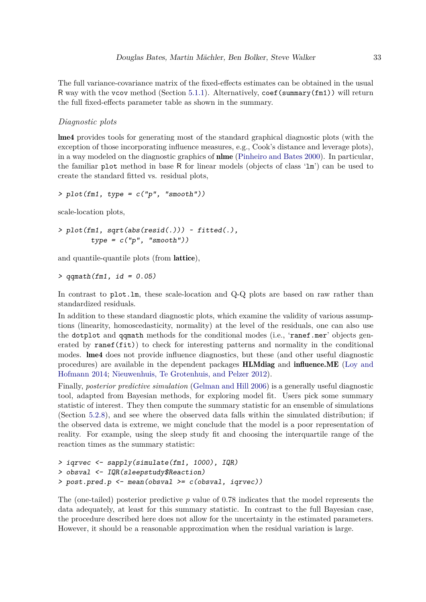The full variance-covariance matrix of the fixed-effects estimates can be obtained in the usual R way with the vcov method (Section [5.1.1\)](#page-25-2). Alternatively, coef(summary(fm1)) will return the full fixed-effects parameter table as shown in the summary.

## <span id="page-32-0"></span>*Diagnostic plots*

lme4 provides tools for generating most of the standard graphical diagnostic plots (with the exception of those incorporating influence measures, e.g., Cook's distance and leverage plots), in a way modeled on the diagnostic graphics of nlme [\(Pinheiro and Bates 2000\)](#page-41-10). In particular, the familiar plot method in base R for linear models (objects of class 'lm') can be used to create the standard fitted vs. residual plots,

```
> plot(fm1, type = c("p", "smooth"))
```
scale-location plots,

```
> plot(fm1, sqrt(abs(resid(.))) ~ fitted(.),
        type = c("p", "smooth"))
```
and quantile-quantile plots (from lattice),

*> qqmath(fm1, id = 0.05)*

In contrast to plot. Im, these scale-location and Q-Q plots are based on raw rather than standardized residuals.

In addition to these standard diagnostic plots, which examine the validity of various assumptions (linearity, homoscedasticity, normality) at the level of the residuals, one can also use the dotplot and qqmath methods for the conditional modes (i.e., 'ranef.mer' objects generated by  $\text{rand}(fit)$  to check for interesting patterns and normality in the conditional modes. lme4 does not provide influence diagnostics, but these (and other useful diagnostic procedures) are available in the dependent packages HLMdiag and influence.ME [\(Loy and](#page-41-11) [Hofmann 2014;](#page-41-11) [Nieuwenhuis, Te Grotenhuis, and Pelzer 2012\)](#page-41-12).

Finally, *posterior predictive simulation* [\(Gelman and Hill 2006\)](#page-40-13) is a generally useful diagnostic tool, adapted from Bayesian methods, for exploring model fit. Users pick some summary statistic of interest. They then compute the summary statistic for an ensemble of simulations (Section [5.2.8\)](#page-35-0), and see where the observed data falls within the simulated distribution; if the observed data is extreme, we might conclude that the model is a poor representation of reality. For example, using the sleep study fit and choosing the interquartile range of the reaction times as the summary statistic:

```
> iqrvec <- sapply(simulate(fm1, 1000), IQR)
> obsval <- IQR(sleepstudy$Reaction)
> post.pred.p <- mean(obsval >= c(obsval, iqrvec))
```
The (one-tailed) posterior predictive *p* value of 0.78 indicates that the model represents the data adequately, at least for this summary statistic. In contrast to the full Bayesian case, the procedure described here does not allow for the uncertainty in the estimated parameters. However, it should be a reasonable approximation when the residual variation is large.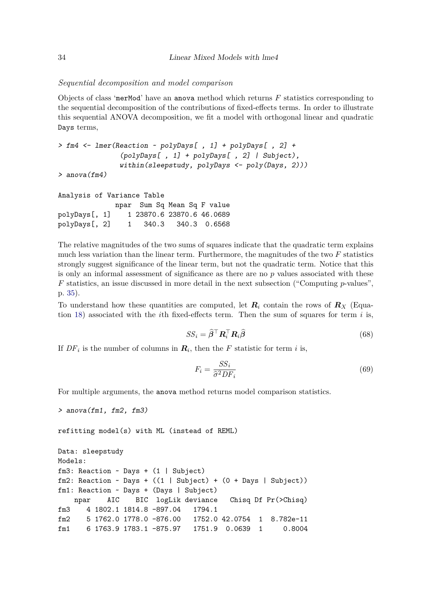#### <span id="page-33-0"></span>*Sequential decomposition and model comparison*

Objects of class 'merMod' have an anova method which returns *F* statistics corresponding to the sequential decomposition of the contributions of fixed-effects terms. In order to illustrate this sequential ANOVA decomposition, we fit a model with orthogonal linear and quadratic Days terms,

```
> fm4 <- lmer(Reaction ~ polyDays[ , 1] + polyDays[ , 2] +
               (polyDays[ , 1] + polyDays[ , 2] | Subject),
               within(sleepstudy, polyDays <- poly(Days, 2)))
```

```
> anova(fm4)
```

```
Analysis of Variance Table
             npar Sum Sq Mean Sq F value
polyDays[, 1] 1 23870.6 23870.6 46.0689
polyDays[, 2] 1 340.3 340.3 0.6568
```
The relative magnitudes of the two sums of squares indicate that the quadratic term explains much less variation than the linear term. Furthermore, the magnitudes of the two *F* statistics strongly suggest significance of the linear term, but not the quadratic term. Notice that this is only an informal assessment of significance as there are no *p* values associated with these *F* statistics, an issue discussed in more detail in the next subsection ("Computing *p*-values", p. [35\)](#page-34-1).

To understand how these quantities are computed, let  $R_i$  contain the rows of  $R_X$  (Equation [18\)](#page-13-0) associated with the *i*th fixed-effects term. Then the sum of squares for term *i* is,

$$
SS_i = \hat{\boldsymbol{\beta}}^\top \boldsymbol{R}_i^\top \boldsymbol{R}_i \hat{\boldsymbol{\beta}} \tag{68}
$$

If  $DF_i$  is the number of columns in  $\mathbf{R}_i$ , then the *F* statistic for term *i* is,

$$
F_i = \frac{SS_i}{\hat{\sigma}^2 DF_i} \tag{69}
$$

For multiple arguments, the anova method returns model comparison statistics.

```
> anova(fm1, fm2, fm3)
refitting model(s) with ML (instead of REML)
Data: sleepstudy
Models:
fm3: Reaction \sim Days + (1 | Subject)
fm2: Reaction ~ Days + ((1 | Subject) + (0 + Days | Subject))
fm1: Reaction ~ Days + (Days | Subject)
   npar AIC BIC logLik deviance Chisq Df Pr(>Chisq)
fm3 4 1802.1 1814.8 -897.04 1794.1
fm2 5 1762.0 1778.0 -876.00 1752.0 42.0754 1 8.782e-11
fm1 6 1763.9 1783.1 -875.97 1751.9 0.0639 1 0.8004
```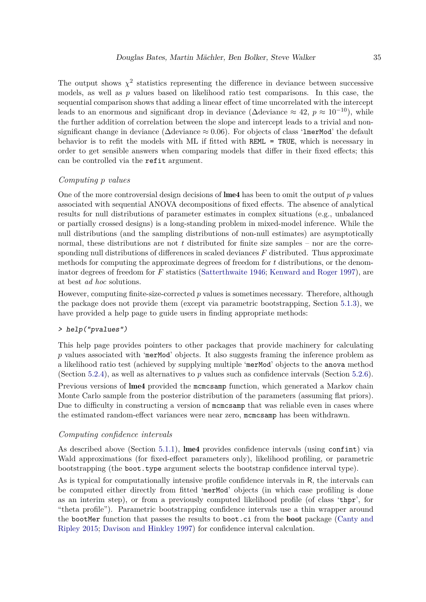The output shows  $\chi^2$  statistics representing the difference in deviance between successive models, as well as *p* values based on likelihood ratio test comparisons. In this case, the sequential comparison shows that adding a linear effect of time uncorrelated with the intercept leads to an enormous and significant drop in deviance ( $\Delta$ deviance  $\approx 42$ ,  $p \approx 10^{-10}$ ), while the further addition of correlation between the slope and intercept leads to a trivial and nonsignificant change in deviance ( $\Delta$ deviance ≈ 0.06). For objects of class 'lmerMod' the default behavior is to refit the models with ML if fitted with REML = TRUE, which is necessary in order to get sensible answers when comparing models that differ in their fixed effects; this can be controlled via the refit argument.

## <span id="page-34-1"></span>*Computing p values*

One of the more controversial design decisions of lme4 has been to omit the output of *p* values associated with sequential ANOVA decompositions of fixed effects. The absence of analytical results for null distributions of parameter estimates in complex situations (e.g., unbalanced or partially crossed designs) is a long-standing problem in mixed-model inference. While the null distributions (and the sampling distributions of non-null estimates) are asymptotically normal, these distributions are not *t* distributed for finite size samples – nor are the corresponding null distributions of differences in scaled deviances *F* distributed. Thus approximate methods for computing the approximate degrees of freedom for *t* distributions, or the denominator degrees of freedom for *F* statistics [\(Satterthwaite 1946;](#page-41-13) [Kenward and Roger 1997\)](#page-40-14), are at best *ad hoc* solutions.

However, computing finite-size-corrected *p* values is sometimes necessary. Therefore, although the package does not provide them (except via parametric bootstrapping, Section [5.1.3\)](#page-27-0), we have provided a help page to guide users in finding appropriate methods:

## *> help("pvalues")*

This help page provides pointers to other packages that provide machinery for calculating p values associated with 'merMod' objects. It also suggests framing the inference problem as a likelihood ratio test (achieved by supplying multiple 'merMod' objects to the anova method (Section [5.2.4\)](#page-33-0), as well as alternatives to *p* values such as confidence intervals (Section [5.2.6\)](#page-34-0). Previous versions of lme4 provided the mcmcsamp function, which generated a Markov chain Monte Carlo sample from the posterior distribution of the parameters (assuming flat priors). Due to difficulty in constructing a version of mcmcsamp that was reliable even in cases where the estimated random-effect variances were near zero, mcmcsamp has been withdrawn.

#### <span id="page-34-0"></span>*Computing confidence intervals*

As described above (Section [5.1.1\)](#page-25-2), lme4 provides confidence intervals (using confint) via Wald approximations (for fixed-effect parameters only), likelihood profiling, or parametric bootstrapping (the boot.type argument selects the bootstrap confidence interval type).

As is typical for computationally intensive profile confidence intervals in R, the intervals can be computed either directly from fitted 'merMod' objects (in which case profiling is done as an interim step), or from a previously computed likelihood profile (of class 'thpr', for "theta profile"). Parametric bootstrapping confidence intervals use a thin wrapper around the bootMer function that passes the results to boot.ci from the **boot** package [\(Canty and](#page-39-12) [Ripley 2015;](#page-39-12) [Davison and Hinkley 1997\)](#page-40-15) for confidence interval calculation.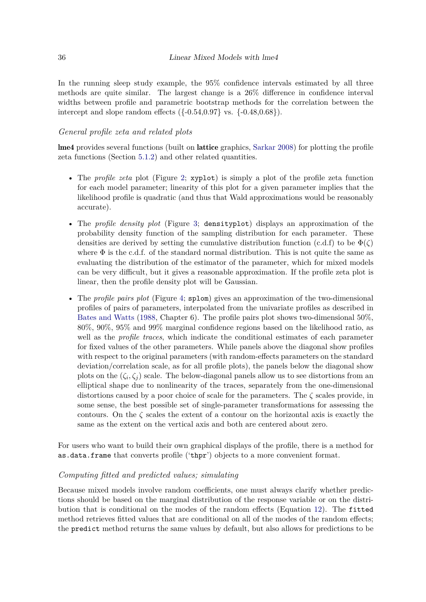In the running sleep study example, the 95% confidence intervals estimated by all three methods are quite similar. The largest change is a 26% difference in confidence interval widths between profile and parametric bootstrap methods for the correlation between the intercept and slope random effects  $({0.54, 0.97} \text{ vs. } {\{-0.48, 0.68\}}).$ 

## *General profile zeta and related plots*

lme4 provides several functions (built on lattice graphics, [Sarkar 2008\)](#page-41-14) for plotting the profile zeta functions (Section [5.1.2\)](#page-25-1) and other related quantities.

- The *profile zeta* plot (Figure [2;](#page-36-0) xyplot) is simply a plot of the profile zeta function for each model parameter; linearity of this plot for a given parameter implies that the likelihood profile is quadratic (and thus that Wald approximations would be reasonably accurate).
- The *profile density plot* (Figure [3;](#page-37-0) densityplot) displays an approximation of the probability density function of the sampling distribution for each parameter. These densities are derived by setting the cumulative distribution function  $(c.d.f)$  to be  $\Phi(\zeta)$ where  $\Phi$  is the c.d.f. of the standard normal distribution. This is not quite the same as evaluating the distribution of the estimator of the parameter, which for mixed models can be very difficult, but it gives a reasonable approximation. If the profile zeta plot is linear, then the profile density plot will be Gaussian.
- The *profile pairs plot* (Figure [4;](#page-38-0) splom) gives an approximation of the two-dimensional profiles of pairs of parameters, interpolated from the univariate profiles as described in [Bates and Watts](#page-39-13) [\(1988,](#page-39-13) Chapter 6). The profile pairs plot shows two-dimensional 50%, 80%, 90%, 95% and 99% marginal confidence regions based on the likelihood ratio, as well as the *profile traces*, which indicate the conditional estimates of each parameter for fixed values of the other parameters. While panels above the diagonal show profiles with respect to the original parameters (with random-effects parameters on the standard deviation/correlation scale, as for all profile plots), the panels below the diagonal show plots on the  $(\zeta_i, \zeta_j)$  scale. The below-diagonal panels allow us to see distortions from an elliptical shape due to nonlinearity of the traces, separately from the one-dimensional distortions caused by a poor choice of scale for the parameters. The *ζ* scales provide, in some sense, the best possible set of single-parameter transformations for assessing the contours. On the  $\zeta$  scales the extent of a contour on the horizontal axis is exactly the same as the extent on the vertical axis and both are centered about zero.

For users who want to build their own graphical displays of the profile, there is a method for as.data.frame that converts profile ('thpr') objects to a more convenient format.

## <span id="page-35-0"></span>*Computing fitted and predicted values; simulating*

Because mixed models involve random coefficients, one must always clarify whether predictions should be based on the marginal distribution of the response variable or on the distribution that is conditional on the modes of the random effects (Equation [12\)](#page-12-7). The fitted method retrieves fitted values that are conditional on all of the modes of the random effects; the predict method returns the same values by default, but also allows for predictions to be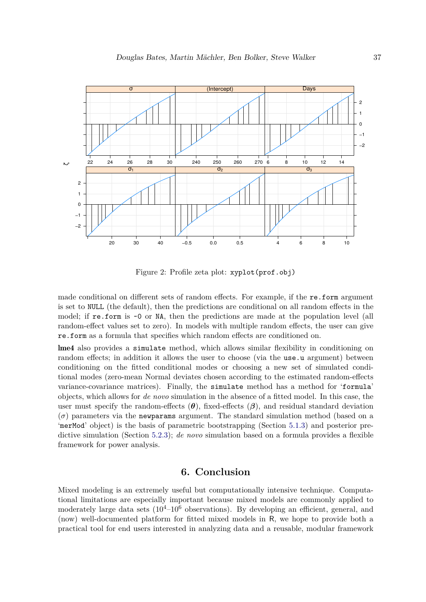

<span id="page-36-0"></span>Figure 2: Profile zeta plot: xyplot(prof.obj)

made conditional on different sets of random effects. For example, if the re.form argument is set to NULL (the default), then the predictions are conditional on all random effects in the model; if re.form is ~0 or NA, then the predictions are made at the population level (all random-effect values set to zero). In models with multiple random effects, the user can give re.form as a formula that specifies which random effects are conditioned on.

lme4 also provides a simulate method, which allows similar flexibility in conditioning on random effects; in addition it allows the user to choose (via the use.u argument) between conditioning on the fitted conditional modes or choosing a new set of simulated conditional modes (zero-mean Normal deviates chosen according to the estimated random-effects variance-covariance matrices). Finally, the simulate method has a method for 'formula' objects, which allows for *de novo* simulation in the absence of a fitted model. In this case, the user must specify the random-effects  $(\theta)$ , fixed-effects  $(\beta)$ , and residual standard deviation  $(\sigma)$  parameters via the newparams argument. The standard simulation method (based on a 'merMod' object) is the basis of parametric bootstrapping (Section [5.1.3\)](#page-27-0) and posterior predictive simulation (Section [5.2.3\)](#page-32-0); *de novo* simulation based on a formula provides a flexible framework for power analysis.

## **6. Conclusion**

Mixed modeling is an extremely useful but computationally intensive technique. Computational limitations are especially important because mixed models are commonly applied to moderately large data sets  $(10^{4}-10^{6}$  observations). By developing an efficient, general, and (now) well-documented platform for fitted mixed models in R, we hope to provide both a practical tool for end users interested in analyzing data and a reusable, modular framework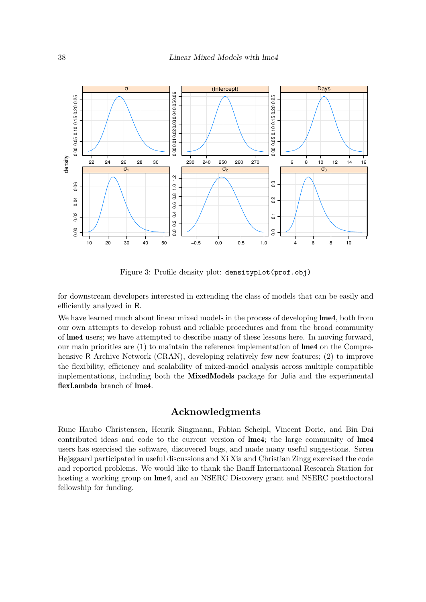

<span id="page-37-0"></span>Figure 3: Profile density plot: densityplot(prof.obj)

for downstream developers interested in extending the class of models that can be easily and efficiently analyzed in R.

We have learned much about linear mixed models in the process of developing  $\text{Im}e_4$ , both from our own attempts to develop robust and reliable procedures and from the broad community of lme4 users; we have attempted to describe many of these lessons here. In moving forward, our main priorities are  $(1)$  to maintain the reference implementation of **lme4** on the Comprehensive R Archive Network (CRAN), developing relatively few new features; (2) to improve the flexibility, efficiency and scalability of mixed-model analysis across multiple compatible implementations, including both the MixedModels package for Julia and the experimental flexLambda branch of lme4.

## **Acknowledgments**

Rune Haubo Christensen, Henrik Singmann, Fabian Scheipl, Vincent Dorie, and Bin Dai contributed ideas and code to the current version of lme4; the large community of lme4 users has exercised the software, discovered bugs, and made many useful suggestions. Søren Højsgaard participated in useful discussions and Xi Xia and Christian Zingg exercised the code and reported problems. We would like to thank the Banff International Research Station for hosting a working group on **lme4**, and an NSERC Discovery grant and NSERC postdoctoral fellowship for funding.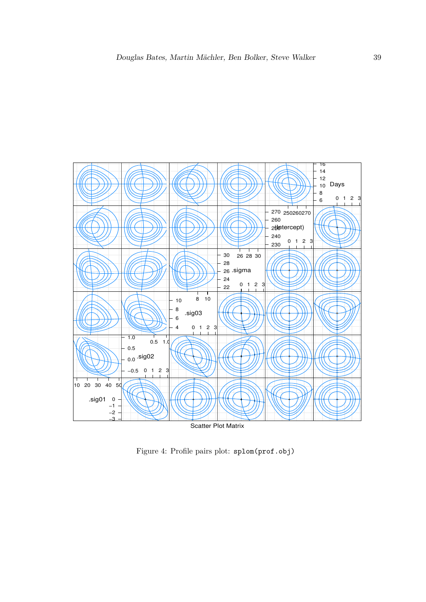

<span id="page-38-0"></span>Figure 4: Profile pairs plot: splom(prof.obj)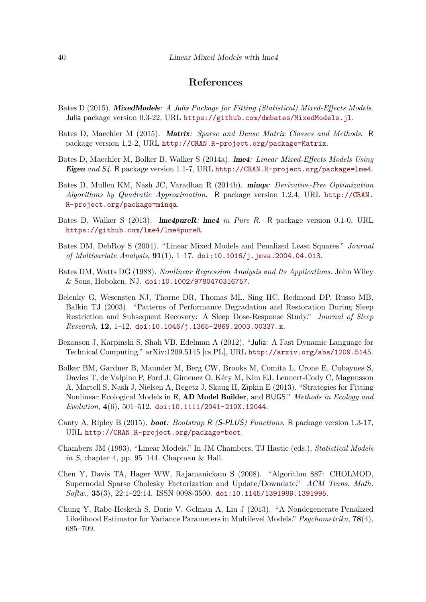## **References**

- <span id="page-39-1"></span>Bates D (2015). MixedModels*: A* Julia *Package for Fitting (Statistical) Mixed-Effects Models*. Julia package version 0.3-22, URL <https://github.com/dmbates/MixedModels.jl>.
- <span id="page-39-8"></span>Bates D, Maechler M (2015). Matrix*: Sparse and Dense Matrix Classes and Methods*. R package version 1.2-2, URL <http://CRAN.R-project.org/package=Matrix>.
- <span id="page-39-0"></span>Bates D, Maechler M, Bolker B, Walker S (2014a). lme4*: Linear Mixed-Effects Models Using* Eigen *and* S*4*. R package version 1.1-7, URL <http://CRAN.R-project.org/package=lme4>.
- <span id="page-39-10"></span>Bates D, Mullen KM, Nash JC, Varadhan R (2014b). minqa*: Derivative-Free Optimization Algorithms by Quadratic Approximation*. R package version 1.2.4, URL [http://CRAN.](http://CRAN.R-project.org/package=minqa) [R-project.org/package=minqa](http://CRAN.R-project.org/package=minqa).
- <span id="page-39-3"></span>Bates D, Walker S (2013). lme4pureR*:* lme4 *in Pure* R. R package version 0.1-0, URL <https://github.com/lme4/lme4pureR>.
- <span id="page-39-5"></span>Bates DM, DebRoy S (2004). "Linear Mixed Models and Penalized Least Squares." *Journal of Multivariate Analysis*, **91**(1), 1–17. [doi:10.1016/j.jmva.2004.04.013](http://dx.doi.org/10.1016/j.jmva.2004.04.013).
- <span id="page-39-13"></span>Bates DM, Watts DG (1988). *Nonlinear Regression Analysis and Its Applications*. John Wiley & Sons, Hoboken, NJ. [doi:10.1002/9780470316757](http://dx.doi.org/10.1002/9780470316757).
- <span id="page-39-6"></span>Belenky G, Wesensten NJ, Thorne DR, Thomas ML, Sing HC, Redmond DP, Russo MB, Balkin TJ (2003). "Patterns of Performance Degradation and Restoration During Sleep Restriction and Subsequent Recovery: A Sleep Dose-Response Study." *Journal of Sleep Research*, **12**, 1–12. [doi:10.1046/j.1365-2869.2003.00337.x](http://dx.doi.org/10.1046/j.1365-2869.2003.00337.x).
- <span id="page-39-2"></span>Bezanson J, Karpinski S, Shah VB, Edelman A (2012). "Julia: A Fast Dynamic Language for Technical Computing." arXiv:1209.5145 [cs.PL], URL <http://arxiv.org/abs/1209.5145>.
- <span id="page-39-11"></span>Bolker BM, Gardner B, Maunder M, Berg CW, Brooks M, Comita L, Crone E, Cubaynes S, Davies T, de Valpine P, Ford J, Gimenez O, Kéry M, Kim EJ, Lennert-Cody C, Magnusson A, Martell S, Nash J, Nielsen A, Regetz J, Skaug H, Zipkin E (2013). "Strategies for Fitting Nonlinear Ecological Models in R, AD Model Builder, and BUGS." *Methods in Ecology and Evolution*, **4**(6), 501–512. [doi:10.1111/2041-210X.12044](http://dx.doi.org/10.1111/2041-210X.12044).
- <span id="page-39-12"></span>Canty A, Ripley B (2015). boot*: Bootstrap* R *(*S-PLUS*) Functions*. R package version 1.3-17, URL <http://CRAN.R-project.org/package=boot>.
- <span id="page-39-7"></span>Chambers JM (1993). "Linear Models." In JM Chambers, TJ Hastie (eds.), *Statistical Models in* S, chapter 4, pp. 95–144. Chapman & Hall.
- <span id="page-39-9"></span>Chen Y, Davis TA, Hager WW, Rajamanickam S (2008). "Algorithm 887: CHOLMOD, Supernodal Sparse Cholesky Factorization and Update/Downdate." *ACM Trans. Math. Softw.*, **35**(3), 22:1–22:14. ISSN 0098-3500. [doi:10.1145/1391989.1391995](http://dx.doi.org/10.1145/1391989.1391995).
- <span id="page-39-4"></span>Chung Y, Rabe-Hesketh S, Dorie V, Gelman A, Liu J (2013). "A Nondegenerate Penalized Likelihood Estimator for Variance Parameters in Multilevel Models." *Psychometrika*, **78**(4), 685–709.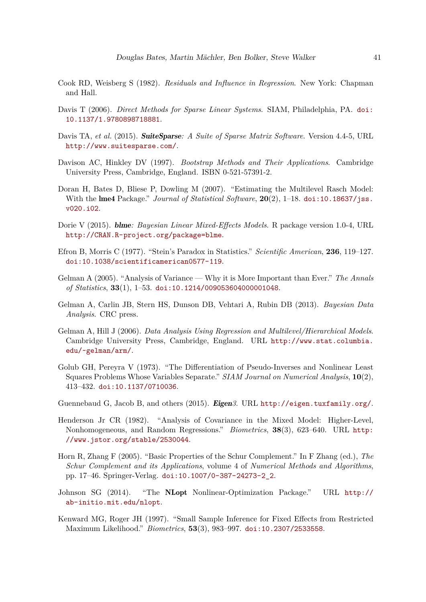- <span id="page-40-12"></span>Cook RD, Weisberg S (1982). *Residuals and Influence in Regression*. New York: Chapman and Hall.
- <span id="page-40-7"></span>Davis T (2006). *Direct Methods for Sparse Linear Systems*. SIAM, Philadelphia, PA. [doi:](http://dx.doi.org/10.1137/1.9780898718881) [10.1137/1.9780898718881](http://dx.doi.org/10.1137/1.9780898718881).
- <span id="page-40-8"></span>Davis TA, *et al.* (2015). **SuiteSparse**: A Suite of Sparse Matrix Software. Version 4.4-5, URL <http://www.suitesparse.com/>.
- <span id="page-40-15"></span>Davison AC, Hinkley DV (1997). *Bootstrap Methods and Their Applications*. Cambridge University Press, Cambridge, England. ISBN 0-521-57391-2.
- <span id="page-40-4"></span>Doran H, Bates D, Bliese P, Dowling M (2007). "Estimating the Multilevel Rasch Model: With the lme4 Package." *Journal of Statistical Software*, **20**(2), 1–18. [doi:10.18637/jss.](http://dx.doi.org/10.18637/jss.v020.i02) [v020.i02](http://dx.doi.org/10.18637/jss.v020.i02).
- <span id="page-40-0"></span>Dorie V (2015). blme*: Bayesian Linear Mixed-Effects Models*. R package version 1.0-4, URL <http://CRAN.R-project.org/package=blme>.
- <span id="page-40-3"></span>Efron B, Morris C (1977). "Stein's Paradox in Statistics." *Scientific American*, **236**, 119–127. [doi:10.1038/scientificamerican0577-119](http://dx.doi.org/10.1038/scientificamerican0577-119).
- <span id="page-40-2"></span>Gelman A (2005). "Analysis of Variance — Why it is More Important than Ever." *The Annals of Statistics*, **33**(1), 1–53. [doi:10.1214/009053604000001048](http://dx.doi.org/10.1214/009053604000001048).
- <span id="page-40-11"></span>Gelman A, Carlin JB, Stern HS, Dunson DB, Vehtari A, Rubin DB (2013). *Bayesian Data Analysis*. CRC press.
- <span id="page-40-13"></span>Gelman A, Hill J (2006). *Data Analysis Using Regression and Multilevel/Hierarchical Models*. Cambridge University Press, Cambridge, England. URL [http://www.stat.columbia.](http://www.stat.columbia.edu/~gelman/arm/) [edu/~gelman/arm/](http://www.stat.columbia.edu/~gelman/arm/).
- <span id="page-40-5"></span>Golub GH, Pereyra V (1973). "The Differentiation of Pseudo-Inverses and Nonlinear Least Squares Problems Whose Variables Separate." *SIAM Journal on Numerical Analysis*, **10**(2), 413–432. [doi:10.1137/0710036](http://dx.doi.org/10.1137/0710036).
- <span id="page-40-6"></span>Guennebaud G, Jacob B, and others (2015). Eigen*3*. URL <http://eigen.tuxfamily.org/>.
- <span id="page-40-1"></span>Henderson Jr CR (1982). "Analysis of Covariance in the Mixed Model: Higher-Level, Nonhomogeneous, and Random Regressions." *Biometrics*, **38**(3), 623–640. URL [http:](http://www.jstor.org/stable/2530044) [//www.jstor.org/stable/2530044](http://www.jstor.org/stable/2530044).
- <span id="page-40-10"></span>Horn R, Zhang F (2005). "Basic Properties of the Schur Complement." In F Zhang (ed.), *The Schur Complement and its Applications*, volume 4 of *Numerical Methods and Algorithms*, pp. 17–46. Springer-Verlag. [doi:10.1007/0-387-24273-2\\_2](http://dx.doi.org/10.1007/0-387-24273-2_2).
- <span id="page-40-9"></span>Johnson SG (2014). "The NLopt Nonlinear-Optimization Package." URL [http://](http://ab-initio.mit.edu/nlopt) [ab-initio.mit.edu/nlopt](http://ab-initio.mit.edu/nlopt).
- <span id="page-40-14"></span>Kenward MG, Roger JH (1997). "Small Sample Inference for Fixed Effects from Restricted Maximum Likelihood." *Biometrics*, **53**(3), 983–997. [doi:10.2307/2533558](http://dx.doi.org/10.2307/2533558).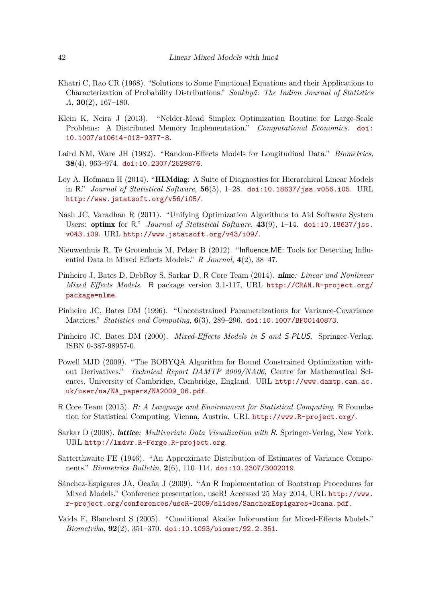- <span id="page-41-3"></span>Khatri C, Rao CR (1968). "Solutions to Some Functional Equations and their Applications to Characterization of Probability Distributions." *Sankhyā: The Indian Journal of Statistics A*, **30**(2), 167–180.
- <span id="page-41-7"></span>Klein K, Neira J (2013). "Nelder-Mead Simplex Optimization Routine for Large-Scale Problems: A Distributed Memory Implementation." *Computational Economics*. [doi:](http://dx.doi.org/10.1007/s10614-013-9377-8) [10.1007/s10614-013-9377-8](http://dx.doi.org/10.1007/s10614-013-9377-8).
- <span id="page-41-2"></span>Laird NM, Ware JH (1982). "Random-Effects Models for Longitudinal Data." *Biometrics*, **38**(4), 963–974. [doi:10.2307/2529876](http://dx.doi.org/10.2307/2529876).
- <span id="page-41-11"></span>Loy A, Hofmann H (2014). "HLMdiag: A Suite of Diagnostics for Hierarchical Linear Models in R." *Journal of Statistical Software*, **56**(5), 1–28. [doi:10.18637/jss.v056.i05](http://dx.doi.org/10.18637/jss.v056.i05). URL <http://www.jstatsoft.org/v56/i05/>.
- <span id="page-41-5"></span>Nash JC, Varadhan R (2011). "Unifying Optimization Algorithms to Aid Software System Users: optimx for R." *Journal of Statistical Software*, **43**(9), 1–14. [doi:10.18637/jss.](http://dx.doi.org/10.18637/jss.v043.i09) [v043.i09](http://dx.doi.org/10.18637/jss.v043.i09). URL <http://www.jstatsoft.org/v43/i09/>.
- <span id="page-41-12"></span>Nieuwenhuis R, Te Grotenhuis M, Pelzer B (2012). "Influence.ME: Tools for Detecting Influential Data in Mixed Effects Models." *R Journal*, **4**(2), 38–47.
- <span id="page-41-1"></span>Pinheiro J, Bates D, DebRoy S, Sarkar D, R Core Team (2014). nlme*: Linear and Nonlinear Mixed Effects Models*. R package version 3.1-117, URL [http://CRAN.R-project.org/](http://CRAN.R-project.org/package=nlme) [package=nlme](http://CRAN.R-project.org/package=nlme).
- <span id="page-41-6"></span>Pinheiro JC, Bates DM (1996). "Unconstrained Parametrizations for Variance-Covariance Matrices." *Statistics and Computing*, **6**(3), 289–296. [doi:10.1007/BF00140873](http://dx.doi.org/10.1007/BF00140873).
- <span id="page-41-10"></span>Pinheiro JC, Bates DM (2000). *Mixed-Effects Models in* S *and* S-PLUS. Springer-Verlag. ISBN 0-387-98957-0.
- <span id="page-41-4"></span>Powell MJD (2009). "The BOBYQA Algorithm for Bound Constrained Optimization without Derivatives." *Technical Report DAMTP 2009/NA06*, Centre for Mathematical Sciences, University of Cambridge, Cambridge, England. URL [http://www.damtp.cam.ac.](http://www.damtp.cam.ac.uk/user/na/NA_papers/NA2009_06.pdf) [uk/user/na/NA\\_papers/NA2009\\_06.pdf](http://www.damtp.cam.ac.uk/user/na/NA_papers/NA2009_06.pdf).
- <span id="page-41-0"></span>R Core Team (2015). R*: A Language and Environment for Statistical Computing*. R Foundation for Statistical Computing, Vienna, Austria. URL <http://www.R-project.org/>.
- <span id="page-41-14"></span>Sarkar D (2008). lattice*: Multivariate Data Visualization with* R. Springer-Verlag, New York. URL <http://lmdvr.R-Forge.R-project.org>.
- <span id="page-41-13"></span>Satterthwaite FE (1946). "An Approximate Distribution of Estimates of Variance Components." *Biometrics Bulletin*, **2**(6), 110–114. [doi:10.2307/3002019](http://dx.doi.org/10.2307/3002019).
- <span id="page-41-8"></span>Sánchez-Espigares JA, Ocaña J (2009). "An R Implementation of Bootstrap Procedures for Mixed Models." Conference presentation, useR! Accessed 25 May 2014, URL [http://www.](http://www.r-project.org/conferences/useR-2009/slides/SanchezEspigares+Ocana.pdf) [r-project.org/conferences/useR-2009/slides/SanchezEspigares+Ocana.pdf](http://www.r-project.org/conferences/useR-2009/slides/SanchezEspigares+Ocana.pdf).
- <span id="page-41-9"></span>Vaida F, Blanchard S (2005). "Conditional Akaike Information for Mixed-Effects Models." *Biometrika*, **92**(2), 351–370. [doi:10.1093/biomet/92.2.351](http://dx.doi.org/10.1093/biomet/92.2.351).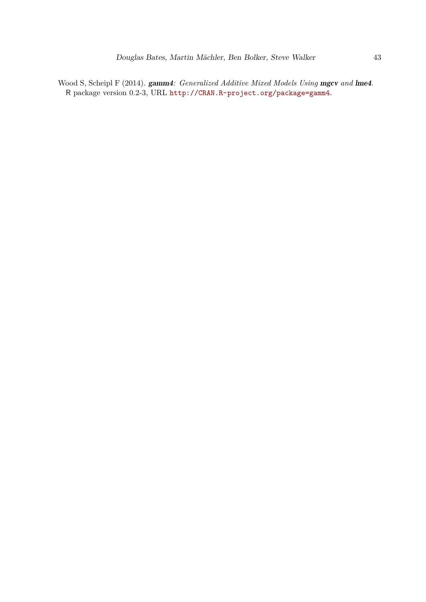<span id="page-42-0"></span>Wood S, Scheipl F (2014). gamm4: *Generalized Additive Mixed Models Using* mgcv and lme4. R package version 0.2-3, URL <http://CRAN.R-project.org/package=gamm4>.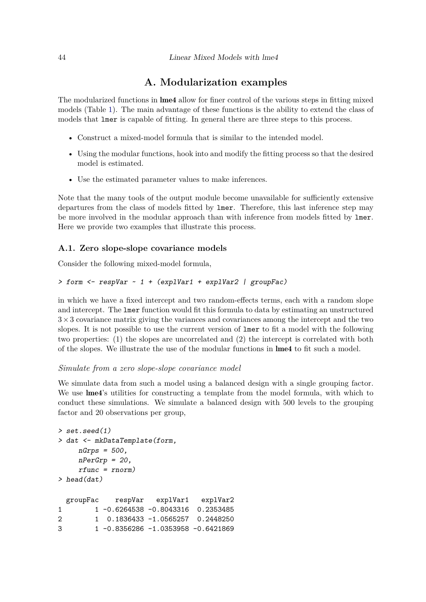## **A. Modularization examples**

<span id="page-43-0"></span>The modularized functions in lme4 allow for finer control of the various steps in fitting mixed models (Table [1\)](#page-4-1). The main advantage of these functions is the ability to extend the class of models that lmer is capable of fitting. In general there are three steps to this process.

- Construct a mixed-model formula that is similar to the intended model.
- Using the modular functions, hook into and modify the fitting process so that the desired model is estimated.
- Use the estimated parameter values to make inferences.

Note that the many tools of the output module become unavailable for sufficiently extensive departures from the class of models fitted by lmer. Therefore, this last inference step may be more involved in the modular approach than with inference from models fitted by lmer. Here we provide two examples that illustrate this process.

### <span id="page-43-1"></span>**A.1. Zero slope-slope covariance models**

Consider the following mixed-model formula,

### *> form <- respVar ~ 1 + (explVar1 + explVar2 | groupFac)*

in which we have a fixed intercept and two random-effects terms, each with a random slope and intercept. The lmer function would fit this formula to data by estimating an unstructured  $3\times3$  covariance matrix giving the variances and covariances among the intercept and the two slopes. It is not possible to use the current version of lmer to fit a model with the following two properties: (1) the slopes are uncorrelated and (2) the intercept is correlated with both of the slopes. We illustrate the use of the modular functions in lme4 to fit such a model.

#### *Simulate from a zero slope-slope covariance model*

We simulate data from such a model using a balanced design with a single grouping factor. We use **lme4**'s utilities for constructing a template from the model formula, with which to conduct these simulations. We simulate a balanced design with 500 levels to the grouping factor and 20 observations per group,

```
> set.seed(1)
> dat <- mkDataTemplate(form,
    nGrps = 500,
    nPerGrp = 20,
    rfunc = rnorm)
> head(dat)
 groupFac respVar explVar1 explVar2
1 1 -0.6264538 -0.8043316 0.2353485
2 1 0.1836433 -1.0565257 0.2448250
3 1 -0.8356286 -1.0353958 -0.6421869
```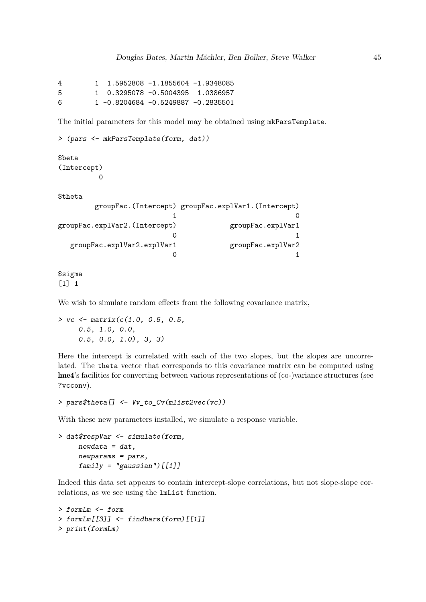4 1 1.5952808 -1.1855604 -1.9348085 5 1 0.3295078 -0.5004395 1.0386957 6 1 -0.8204684 -0.5249887 -0.2835501

The initial parameters for this model may be obtained using mkParsTemplate.

```
> (pars <- mkParsTemplate(form, dat))
```
\$beta (Intercept)

0

\$theta

```
groupFac.(Intercept) groupFac.explVar1.(Intercept)
                1 0
groupFac.explVar2.(Intercept) groupFac.explVar1
                0 1
 groupFac.explVar2.explVar1 groupFac.explVar2
                0 1
```
\$sigma [1] 1

We wish to simulate random effects from the following covariance matrix,

*> vc <- matrix(c(1.0, 0.5, 0.5, 0.5, 1.0, 0.0, 0.5, 0.0, 1.0), 3, 3)*

Here the intercept is correlated with each of the two slopes, but the slopes are uncorrelated. The theta vector that corresponds to this covariance matrix can be computed using lme4's facilities for converting between various representations of (co-)variance structures (see ?vcconv).

*> pars\$theta[] <- Vv\_to\_Cv(mlist2vec(vc))*

With these new parameters installed, we simulate a response variable.

```
> dat$respVar <- simulate(form,
     newdata = dat,
     newparams = pars,
     family = "gaussian")[[1]]
```
Indeed this data set appears to contain intercept-slope correlations, but not slope-slope correlations, as we see using the lmList function.

```
> formLm <- form
> formLm[[3]] <- findbars(form)[[1]]
> print(formLm)
```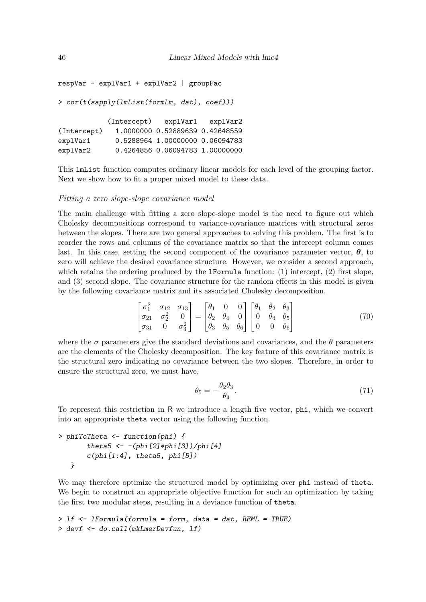```
respVar ~ explVar1 + explVar2 | groupFac
> cor(t(sapply(lmList(formLm, dat), coef)))
           (Intercept) explVar1 explVar2
(Intercept) 1.0000000 0.52889639 0.42648559
explVar1 0.5288964 1.00000000 0.06094783
explVar2 0.4264856 0.06094783 1.00000000
```
This lmList function computes ordinary linear models for each level of the grouping factor. Next we show how to fit a proper mixed model to these data.

#### *Fitting a zero slope-slope covariance model*

The main challenge with fitting a zero slope-slope model is the need to figure out which Cholesky decompositions correspond to variance-covariance matrices with structural zeros between the slopes. There are two general approaches to solving this problem. The first is to reorder the rows and columns of the covariance matrix so that the intercept column comes last. In this case, setting the second component of the covariance parameter vector,  $\theta$ , to zero will achieve the desired covariance structure. However, we consider a second approach, which retains the ordering produced by the **IFormula** function:  $(1)$  intercept,  $(2)$  first slope, and (3) second slope. The covariance structure for the random effects in this model is given by the following covariance matrix and its associated Cholesky decomposition.

$$
\begin{bmatrix} \sigma_1^2 & \sigma_{12} & \sigma_{13} \\ \sigma_{21} & \sigma_2^2 & 0 \\ \sigma_{31} & 0 & \sigma_3^2 \end{bmatrix} = \begin{bmatrix} \theta_1 & 0 & 0 \\ \theta_2 & \theta_4 & 0 \\ \theta_3 & \theta_5 & \theta_6 \end{bmatrix} \begin{bmatrix} \theta_1 & \theta_2 & \theta_3 \\ 0 & \theta_4 & \theta_5 \\ 0 & 0 & \theta_6 \end{bmatrix}
$$
(70)

where the  $\sigma$  parameters give the standard deviations and covariances, and the  $\theta$  parameters are the elements of the Cholesky decomposition. The key feature of this covariance matrix is the structural zero indicating no covariance between the two slopes. Therefore, in order to ensure the structural zero, we must have,

$$
\theta_5 = -\frac{\theta_2 \theta_3}{\theta_4}.\tag{71}
$$

To represent this restriction in R we introduce a length five vector, phi, which we convert into an appropriate theta vector using the following function.

```
> phiToTheta <- function(phi) {
       theta5 <- -(phi[2]*phi[3])/phi[4]
       c(phi[1:4], theta5, phi[5])
  }
```
We may therefore optimize the structured model by optimizing over phi instead of theta. We begin to construct an appropriate objective function for such an optimization by taking the first two modular steps, resulting in a deviance function of theta.

```
> lf <- lFormula(formula = form, data = dat, REML = TRUE)
> devf <- do.call(mkLmerDevfun, lf)
```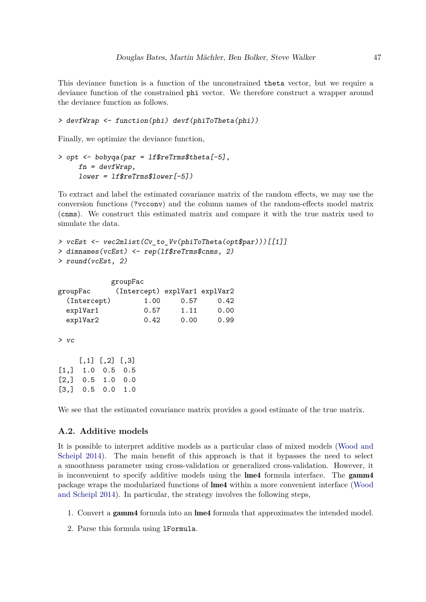This deviance function is a function of the unconstrained theta vector, but we require a deviance function of the constrained phi vector. We therefore construct a wrapper around the deviance function as follows.

```
> devfWrap <- function(phi) devf(phiToTheta(phi))
```
Finally, we optimize the deviance function,

```
> opt <- bobyqa(par = lf$reTrms$theta[-5],
    fn = devfWrap,
    lower = lf$reTrms$lower[-5])
```
To extract and label the estimated covariance matrix of the random effects, we may use the conversion functions (?vcconv) and the column names of the random-effects model matrix (cnms). We construct this estimated matrix and compare it with the true matrix used to simulate the data.

```
> vcEst <- vec2mlist(Cv_to_Vv(phiToTheta(opt$par)))[[1]]
> dimnames(vcEst) <- rep(lf$reTrms$cnms, 2)
> round(vcEst, 2)
```

|             | groupFac                      |      |      |
|-------------|-------------------------------|------|------|
| groupFac    | (Intercept) explVar1 explVar2 |      |      |
| (Intercept) | 1.00                          | 0.57 | 0.42 |
| explVar1    | 0.57                          | 1.11 | 0.00 |
| explVar2    | 0.42                          | 0.00 | 0.99 |

```
> vc
```

|                    | $[,1]$ $[,2]$ $[,3]$ |  |
|--------------------|----------------------|--|
| $[1,]$ 1.0 0.5 0.5 |                      |  |
| $[2,]$ 0.5 1.0 0.0 |                      |  |
| $[3,]$ 0.5 0.0 1.0 |                      |  |

We see that the estimated covariance matrix provides a good estimate of the true matrix.

## **A.2. Additive models**

It is possible to interpret additive models as a particular class of mixed models [\(Wood and](#page-42-0) [Scheipl 2014\)](#page-42-0). The main benefit of this approach is that it bypasses the need to select a smoothness parameter using cross-validation or generalized cross-validation. However, it is inconvenient to specify additive models using the lme4 formula interface. The gamm4 package wraps the modularized functions of lme4 within a more convenient interface [\(Wood](#page-42-0) [and Scheipl 2014\)](#page-42-0). In particular, the strategy involves the following steps,

- 1. Convert a gamm4 formula into an lme4 formula that approximates the intended model.
- 2. Parse this formula using lFormula.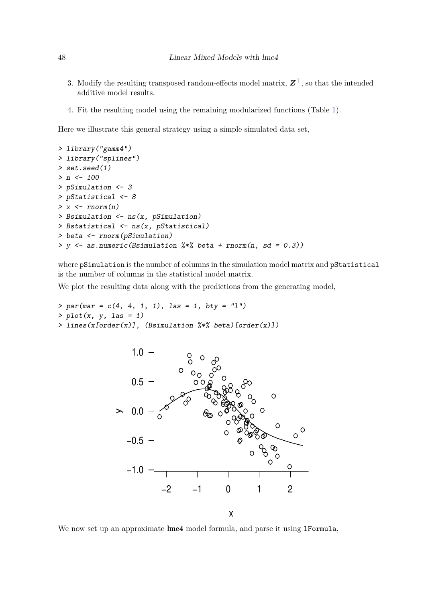- 3. Modify the resulting transposed random-effects model matrix, *Z*⊤, so that the intended additive model results.
- 4. Fit the resulting model using the remaining modularized functions (Table [1\)](#page-4-1).

Here we illustrate this general strategy using a simple simulated data set,

```
> library("gamm4")
> library("splines")
> set.seed(1)
> n <- 100
> pSimulation <- 3
> pStatistical <- 8
> x <- rnorm(n)
> Bsimulation <- ns(x, pSimulation)
> Bstatistical <- ns(x, pStatistical)
> beta <- rnorm(pSimulation)
> y <- as.numeric(Bsimulation %*% beta + rnorm(n, sd = 0.3))
```
where pSimulation is the number of columns in the simulation model matrix and pStatistical is the number of columns in the statistical model matrix.

We plot the resulting data along with the predictions from the generating model,

```
> par(mar = c(4, 4, 1, 1), las = 1, bty = "l")
> plot(x, y, las = 1)
> lines(x[order(x)], (Bsimulation %*% beta)[order(x)])
```


We now set up an approximate lme4 model formula, and parse it using 1Formula,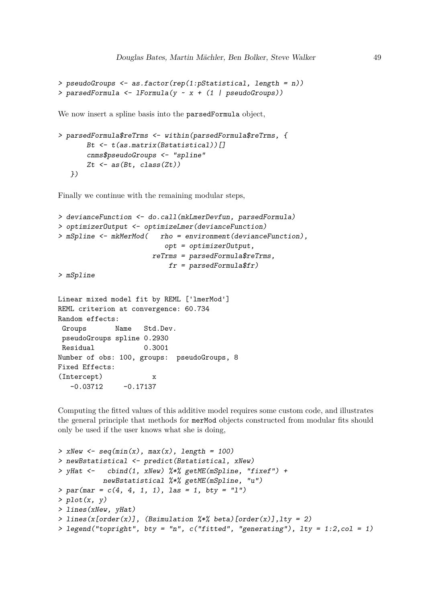```
> pseudoGroups <- as.factor(rep(1:pStatistical, length = n))
> parsedFormula <- lFormula(y ~ x + (1 | pseudoGroups))
```
We now insert a spline basis into the parsedFormula object,

```
> parsedFormula$reTrms <- within(parsedFormula$reTrms, {
       Bt <- t(as.matrix(Bstatistical))[]
       cnms$pseudoGroups <- "spline"
       Zt <- as(Bt, class(Zt))
  })
```
Finally we continue with the remaining modular steps,

```
> devianceFunction <- do.call(mkLmerDevfun, parsedFormula)
> optimizerOutput <- optimizeLmer(devianceFunction)
> mSpline <- mkMerMod( rho = environment(devianceFunction),
                          opt = optimizerOutput,
                       reTrms = parsedFormula$reTrms,
                           fr = parsedFormula$fr)
> mSpline
```

```
Linear mixed model fit by REML ['lmerMod']
REML criterion at convergence: 60.734
Random effects:
Groups Name Std.Dev.
pseudoGroups spline 0.2930
Residual 0.3001
Number of obs: 100, groups: pseudoGroups, 8
Fixed Effects:
(Intercept) x
  -0.03712 -0.17137
```
Computing the fitted values of this additive model requires some custom code, and illustrates the general principle that methods for merMod objects constructed from modular fits should only be used if the user knows what she is doing,

```
> xNew <- seq(min(x), max(x), length = 100)
> newBstatistical <- predict(Bstatistical, xNew)
> yHat <- cbind(1, xNew) %*% getME(mSpline, "fixef") +
          newBstatistical %*% getME(mSpline, "u")
> par(mar = c(4, 4, 1, 1), las = 1, bty = "l")
> plot(x, y)
> lines(xNew, yHat)
> lines(x[order(x)], (Bsimulation %*% beta)[order(x)],lty = 2)
> legend("topright", bty = "n", c("fitted", "generating"), lty = 1:2,col = 1)
```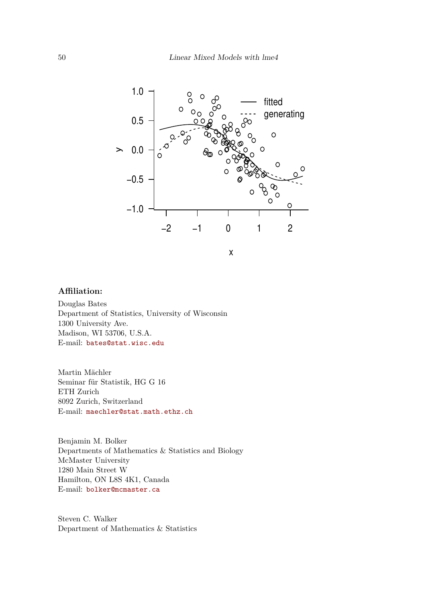

## **Affiliation:**

Douglas Bates Department of Statistics, University of Wisconsin 1300 University Ave. Madison, WI 53706, U.S.A. E-mail: [bates@stat.wisc.edu](mailto:bates@stat.wisc.edu)

Martin Mächler Seminar für Statistik, HG G 16 ETH Zurich 8092 Zurich, Switzerland E-mail: [maechler@stat.math.ethz.ch](mailto:maechler@stat.math.ethz.ch)

Benjamin M. Bolker Departments of Mathematics & Statistics and Biology McMaster University 1280 Main Street W Hamilton, ON L8S 4K1, Canada E-mail: [bolker@mcmaster.ca](mailto:bolker@mcmaster.ca)

Steven C. Walker Department of Mathematics & Statistics